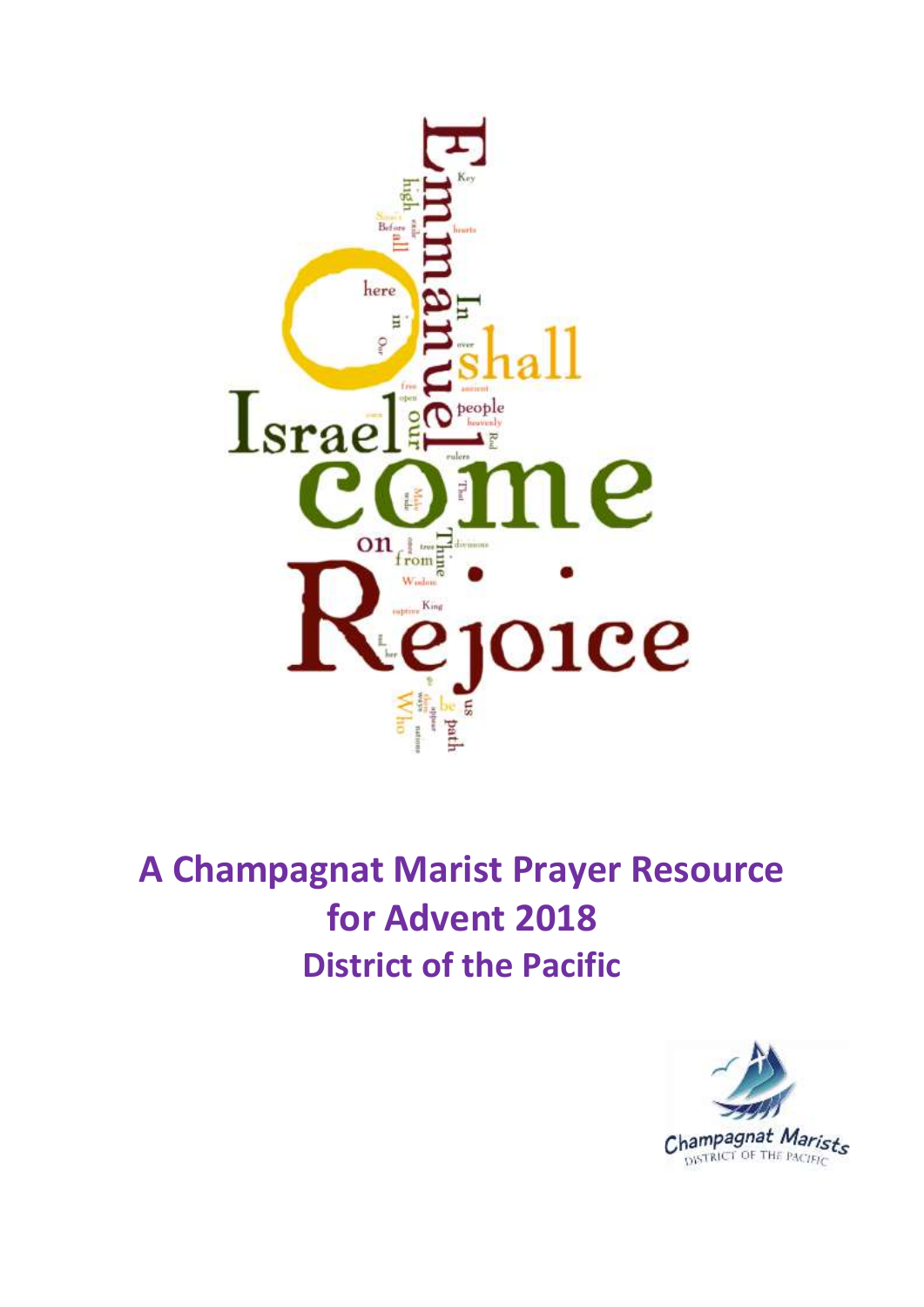

# **A Champagnat Marist Prayer Resource for Advent 2018 District of the Pacific**

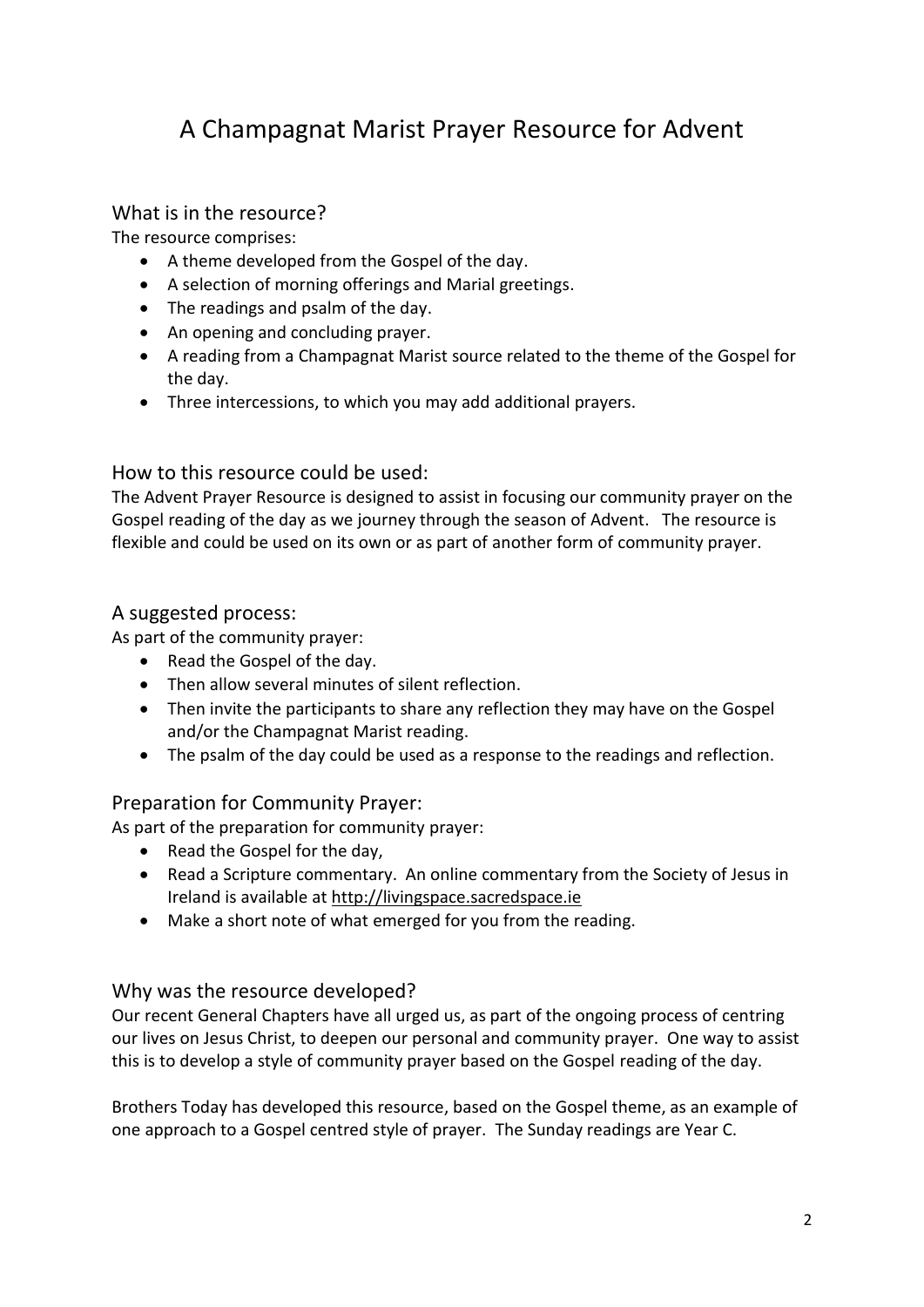## A Champagnat Marist Prayer Resource for Advent

## What is in the resource?

The resource comprises:

- A theme developed from the Gospel of the day.
- A selection of morning offerings and Marial greetings.
- The readings and psalm of the day.
- An opening and concluding prayer.
- A reading from a Champagnat Marist source related to the theme of the Gospel for the day.
- Three intercessions, to which you may add additional prayers.

## How to this resource could be used:

The Advent Prayer Resource is designed to assist in focusing our community prayer on the Gospel reading of the day as we journey through the season of Advent. The resource is flexible and could be used on its own or as part of another form of community prayer.

## A suggested process:

As part of the community prayer:

- Read the Gospel of the day.
- Then allow several minutes of silent reflection.
- Then invite the participants to share any reflection they may have on the Gospel and/or the Champagnat Marist reading.
- The psalm of the day could be used as a response to the readings and reflection.

## Preparation for Community Prayer:

As part of the preparation for community prayer:

- Read the Gospel for the day,
- Read a Scripture commentary. An online commentary from the Society of Jesus in Ireland is available at [http://livingspace.sacredspace.ie](http://livingspace.sacredspace.ie/)
- Make a short note of what emerged for you from the reading.

## Why was the resource developed?

Our recent General Chapters have all urged us, as part of the ongoing process of centring our lives on Jesus Christ, to deepen our personal and community prayer. One way to assist this is to develop a style of community prayer based on the Gospel reading of the day.

Brothers Today has developed this resource, based on the Gospel theme, as an example of one approach to a Gospel centred style of prayer. The Sunday readings are Year C.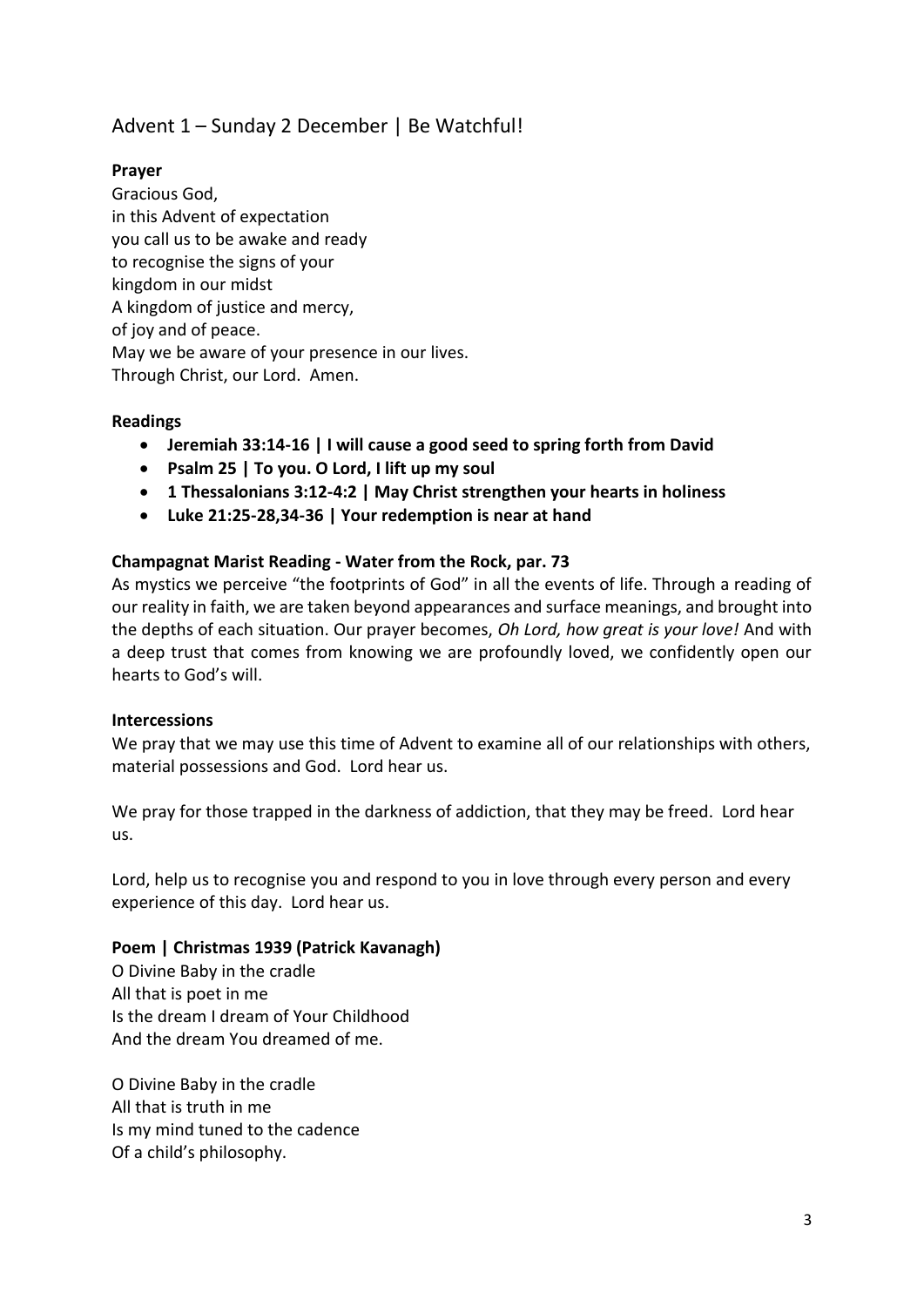## Advent 1 – Sunday 2 December | Be Watchful!

## **Prayer**

Gracious God, in this Advent of expectation you call us to be awake and ready to recognise the signs of your kingdom in our midst A kingdom of justice and mercy, of joy and of peace. May we be aware of your presence in our lives. Through Christ, our Lord. Amen.

## **Readings**

- **Jeremiah 33:14-16 | I will cause a good seed to spring forth from David**
- **Psalm 25 | To you. O Lord, I lift up my soul**
- **1 Thessalonians 3:12-4:2 | May Christ strengthen your hearts in holiness**
- **Luke 21:25-28,34-36 | Your redemption is near at hand**

#### **Champagnat Marist Reading - Water from the Rock, par. 73**

As mystics we perceive "the footprints of God" in all the events of life. Through a reading of our reality in faith, we are taken beyond appearances and surface meanings, and brought into the depths of each situation. Our prayer becomes, *Oh Lord, how great is your love!* And with a deep trust that comes from knowing we are profoundly loved, we confidently open our hearts to God's will.

#### **Intercessions**

We pray that we may use this time of Advent to examine all of our relationships with others, material possessions and God. Lord hear us.

We pray for those trapped in the darkness of addiction, that they may be freed. Lord hear us.

Lord, help us to recognise you and respond to you in love through every person and every experience of this day. Lord hear us.

#### **Poem | Christmas 1939 (Patrick Kavanagh)**

O Divine Baby in the cradle All that is poet in me Is the dream I dream of Your Childhood And the dream You dreamed of me.

O Divine Baby in the cradle All that is truth in me Is my mind tuned to the cadence Of a child's philosophy.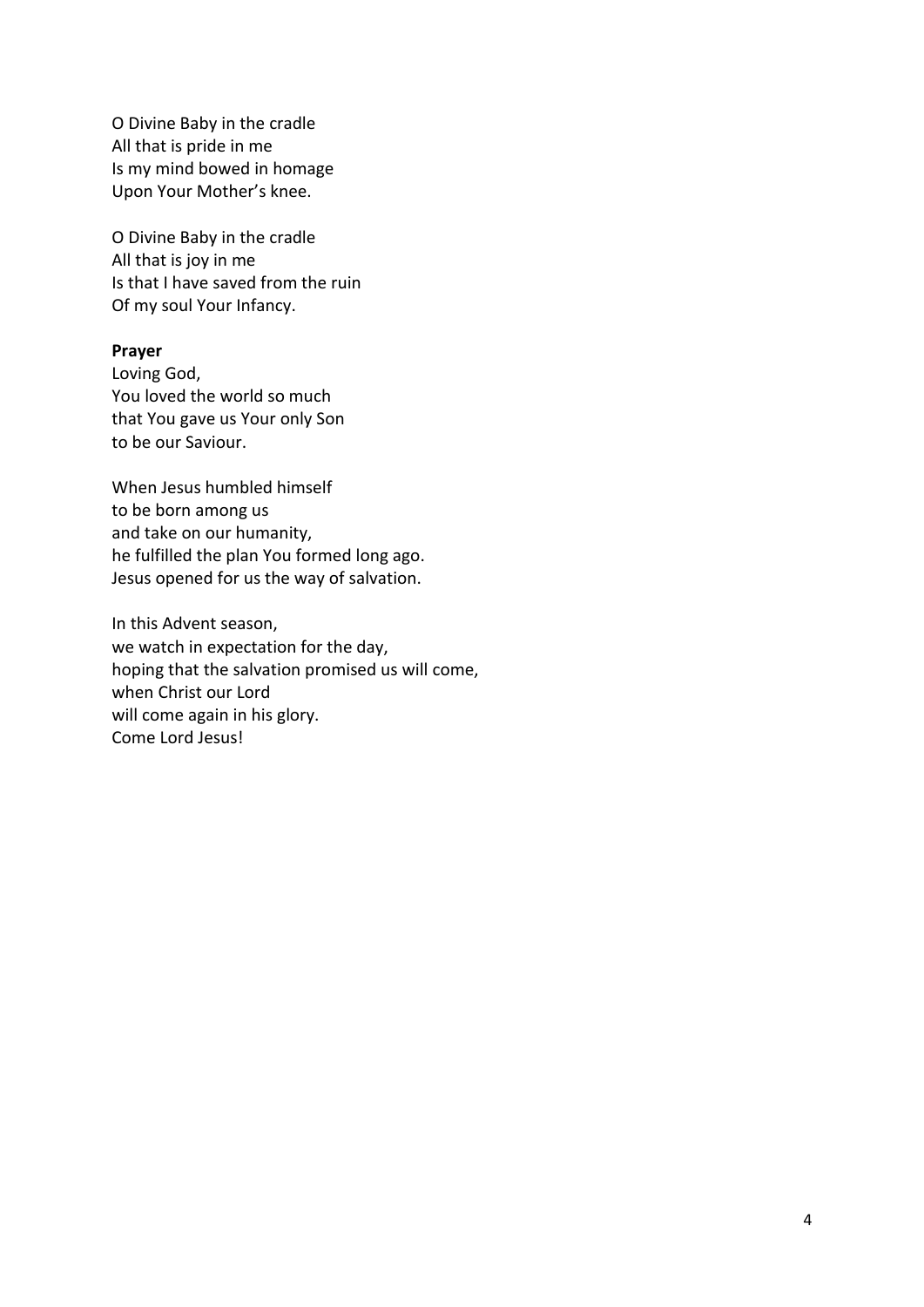O Divine Baby in the cradle All that is pride in me Is my mind bowed in homage Upon Your Mother's knee.

O Divine Baby in the cradle All that is joy in me Is that I have saved from the ruin Of my soul Your Infancy.

#### **Prayer**

Loving God, You loved the world so much that You gave us Your only Son to be our Saviour.

When Jesus humbled himself to be born among us and take on our humanity, he fulfilled the plan You formed long ago. Jesus opened for us the way of salvation.

In this Advent season, we watch in expectation for the day, hoping that the salvation promised us will come, when Christ our Lord will come again in his glory. Come Lord Jesus!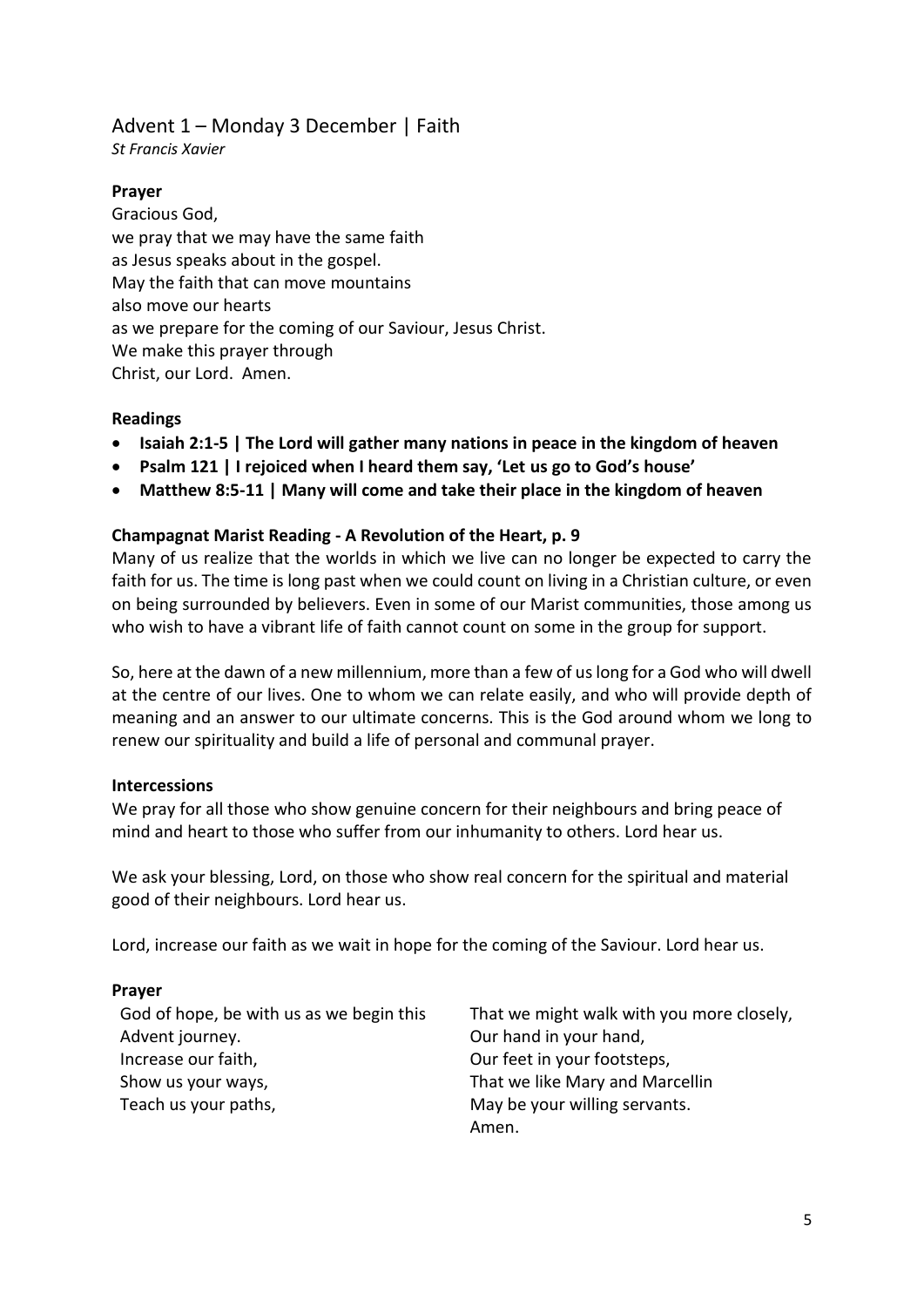## Advent 1 – Monday 3 December | Faith

*St Francis Xavier* 

## **Prayer**

Gracious God, we pray that we may have the same faith as Jesus speaks about in the gospel. May the faith that can move mountains also move our hearts as we prepare for the coming of our Saviour, Jesus Christ. We make this prayer through Christ, our Lord. Amen.

## **Readings**

- **Isaiah 2:1-5 | The Lord will gather many nations in peace in the kingdom of heaven**
- **Psalm 121 | I rejoiced when I heard them say, 'Let us go to God's house'**
- **Matthew 8:5-11 | Many will come and take their place in the kingdom of heaven**

## **Champagnat Marist Reading - A Revolution of the Heart, p. 9**

Many of us realize that the worlds in which we live can no longer be expected to carry the faith for us. The time is long past when we could count on living in a Christian culture, or even on being surrounded by believers. Even in some of our Marist communities, those among us who wish to have a vibrant life of faith cannot count on some in the group for support.

So, here at the dawn of a new millennium, more than a few of us long for a God who will dwell at the centre of our lives. One to whom we can relate easily, and who will provide depth of meaning and an answer to our ultimate concerns. This is the God around whom we long to renew our spirituality and build a life of personal and communal prayer.

## **Intercessions**

We pray for all those who show genuine concern for their neighbours and bring peace of mind and heart to those who suffer from our inhumanity to others. Lord hear us.

We ask your blessing, Lord, on those who show real concern for the spiritual and material good of their neighbours. Lord hear us.

Lord, increase our faith as we wait in hope for the coming of the Saviour. Lord hear us.

## **Prayer**

God of hope, be with us as we begin this Advent journey. Increase our faith, Show us your ways, Teach us your paths,

That we might walk with you more closely, Our hand in your hand, Our feet in your footsteps, That we like Mary and Marcellin May be your willing servants. Amen.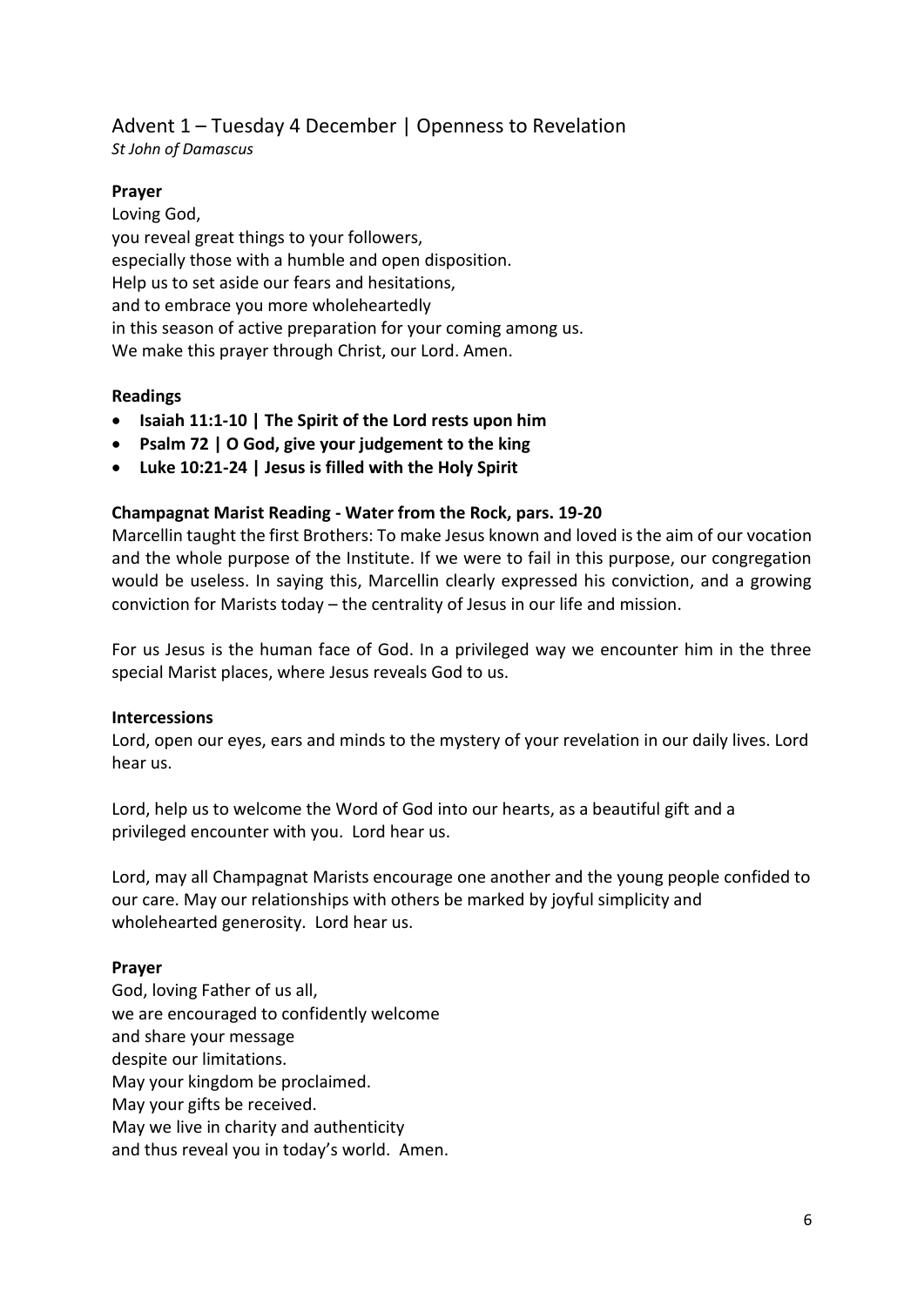## Advent 1 – Tuesday 4 December | Openness to Revelation *St John of Damascus*

## **Prayer**

Loving God, you reveal great things to your followers, especially those with a humble and open disposition. Help us to set aside our fears and hesitations, and to embrace you more wholeheartedly in this season of active preparation for your coming among us. We make this prayer through Christ, our Lord. Amen.

## **Readings**

- **Isaiah 11:1-10 | The Spirit of the Lord rests upon him**
- **Psalm 72 | O God, give your judgement to the king**
- **Luke 10:21-24 | Jesus is filled with the Holy Spirit**

## **Champagnat Marist Reading - Water from the Rock, pars. 19-20**

Marcellin taught the first Brothers: To make Jesus known and loved is the aim of our vocation and the whole purpose of the Institute. If we were to fail in this purpose, our congregation would be useless. In saying this, Marcellin clearly expressed his conviction, and a growing conviction for Marists today – the centrality of Jesus in our life and mission.

For us Jesus is the human face of God. In a privileged way we encounter him in the three special Marist places, where Jesus reveals God to us.

## **Intercessions**

Lord, open our eyes, ears and minds to the mystery of your revelation in our daily lives. Lord hear us.

Lord, help us to welcome the Word of God into our hearts, as a beautiful gift and a privileged encounter with you. Lord hear us.

Lord, may all Champagnat Marists encourage one another and the young people confided to our care. May our relationships with others be marked by joyful simplicity and wholehearted generosity. Lord hear us.

## **Prayer**

God, loving Father of us all, we are encouraged to confidently welcome and share your message despite our limitations. May your kingdom be proclaimed. May your gifts be received. May we live in charity and authenticity and thus reveal you in today's world. Amen.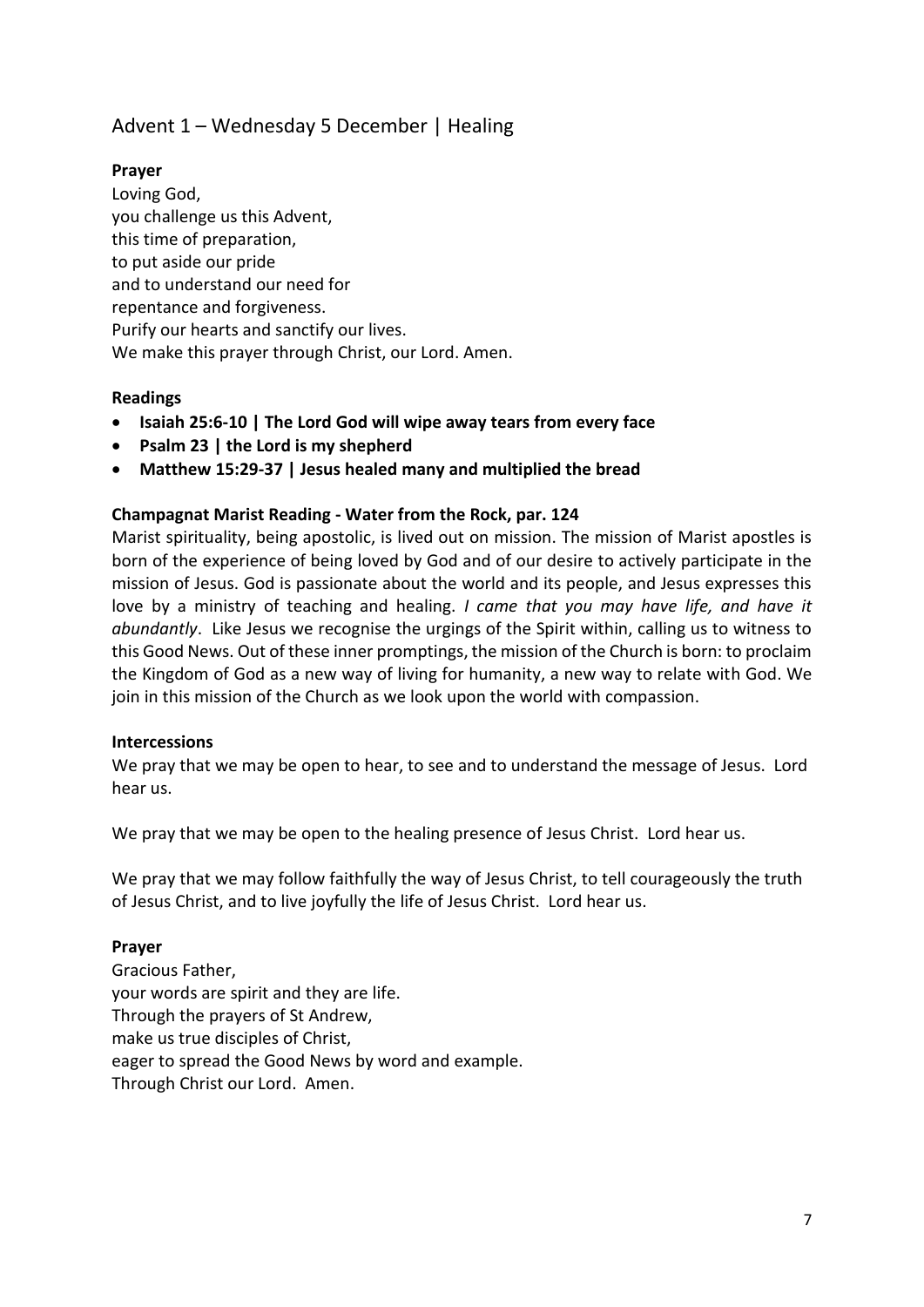## Advent 1 – Wednesday 5 December | Healing

## **Prayer**

Loving God, you challenge us this Advent, this time of preparation, to put aside our pride and to understand our need for repentance and forgiveness. Purify our hearts and sanctify our lives. We make this prayer through Christ, our Lord. Amen.

## **Readings**

- **Isaiah 25:6-10 | The Lord God will wipe away tears from every face**
- **Psalm 23 | the Lord is my shepherd**
- **Matthew 15:29-37 | Jesus healed many and multiplied the bread**

#### **Champagnat Marist Reading - Water from the Rock, par. 124**

Marist spirituality, being apostolic, is lived out on mission. The mission of Marist apostles is born of the experience of being loved by God and of our desire to actively participate in the mission of Jesus. God is passionate about the world and its people, and Jesus expresses this love by a ministry of teaching and healing. *I came that you may have life, and have it abundantly*. Like Jesus we recognise the urgings of the Spirit within, calling us to witness to this Good News. Out of these inner promptings, the mission of the Church is born: to proclaim the Kingdom of God as a new way of living for humanity, a new way to relate with God. We join in this mission of the Church as we look upon the world with compassion.

#### **Intercessions**

We pray that we may be open to hear, to see and to understand the message of Jesus. Lord hear us.

We pray that we may be open to the healing presence of Jesus Christ. Lord hear us.

We pray that we may follow faithfully the way of Jesus Christ, to tell courageously the truth of Jesus Christ, and to live joyfully the life of Jesus Christ. Lord hear us.

#### **Prayer**

Gracious Father, your words are spirit and they are life. Through the prayers of St Andrew, make us true disciples of Christ, eager to spread the Good News by word and example. Through Christ our Lord. Amen.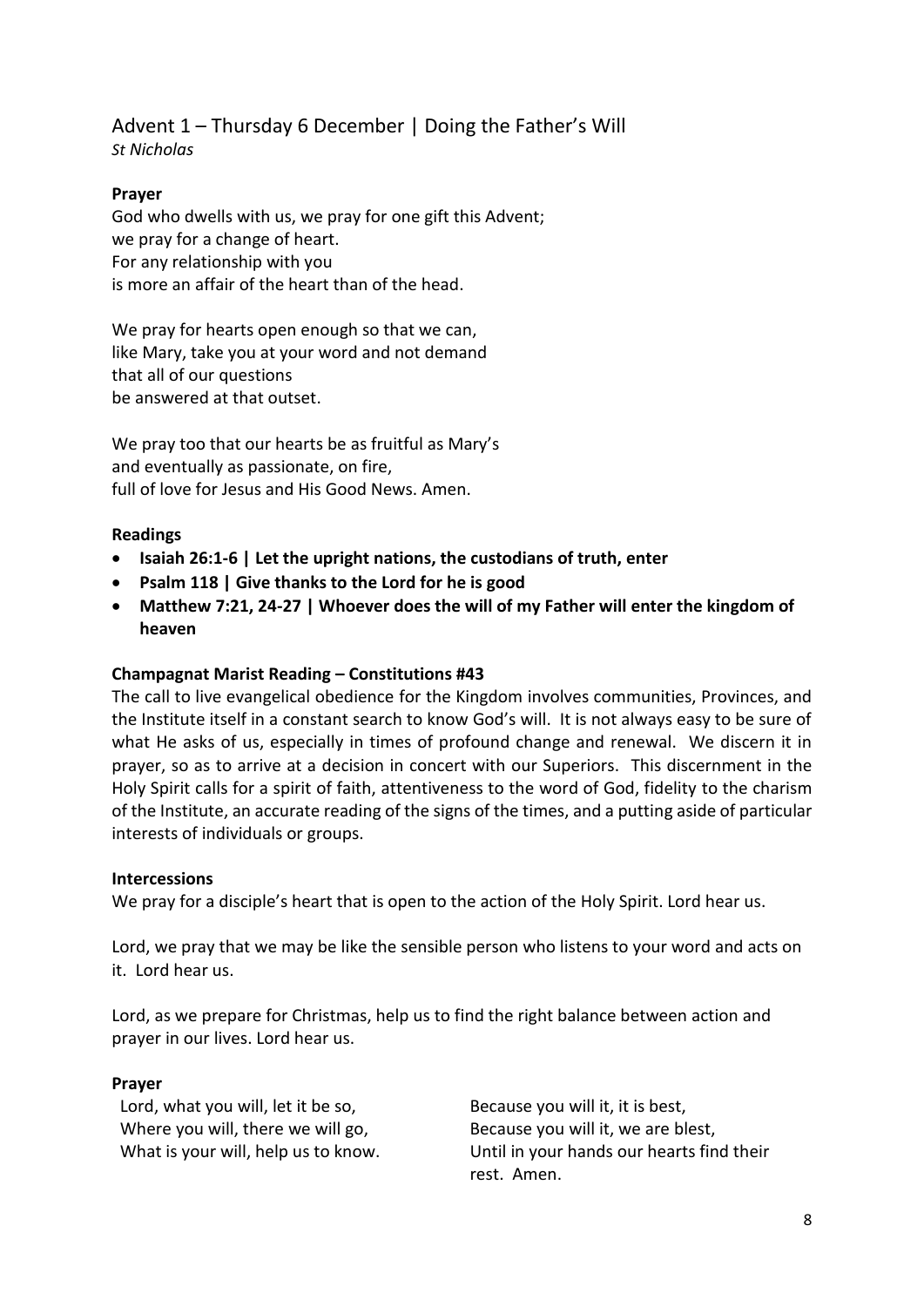## Advent 1 – Thursday 6 December | Doing the Father's Will *St Nicholas*

## **Prayer**

God who dwells with us, we pray for one gift this Advent; we pray for a change of heart. For any relationship with you is more an affair of the heart than of the head.

We pray for hearts open enough so that we can, like Mary, take you at your word and not demand that all of our questions be answered at that outset.

We pray too that our hearts be as fruitful as Mary's and eventually as passionate, on fire, full of love for Jesus and His Good News. Amen.

## **Readings**

- **Isaiah 26:1-6 | Let the upright nations, the custodians of truth, enter**
- **Psalm 118 | Give thanks to the Lord for he is good**
- **Matthew 7:21, 24-27 | Whoever does the will of my Father will enter the kingdom of heaven**

## **Champagnat Marist Reading – Constitutions #43**

The call to live evangelical obedience for the Kingdom involves communities, Provinces, and the Institute itself in a constant search to know God's will. It is not always easy to be sure of what He asks of us, especially in times of profound change and renewal. We discern it in prayer, so as to arrive at a decision in concert with our Superiors. This discernment in the Holy Spirit calls for a spirit of faith, attentiveness to the word of God, fidelity to the charism of the Institute, an accurate reading of the signs of the times, and a putting aside of particular interests of individuals or groups.

## **Intercessions**

We pray for a disciple's heart that is open to the action of the Holy Spirit. Lord hear us.

Lord, we pray that we may be like the sensible person who listens to your word and acts on it. Lord hear us.

Lord, as we prepare for Christmas, help us to find the right balance between action and prayer in our lives. Lord hear us.

## **Prayer**

Lord, what you will, let it be so, Where you will, there we will go, What is your will, help us to know.

Because you will it, it is best, Because you will it, we are blest, Until in your hands our hearts find their rest. Amen.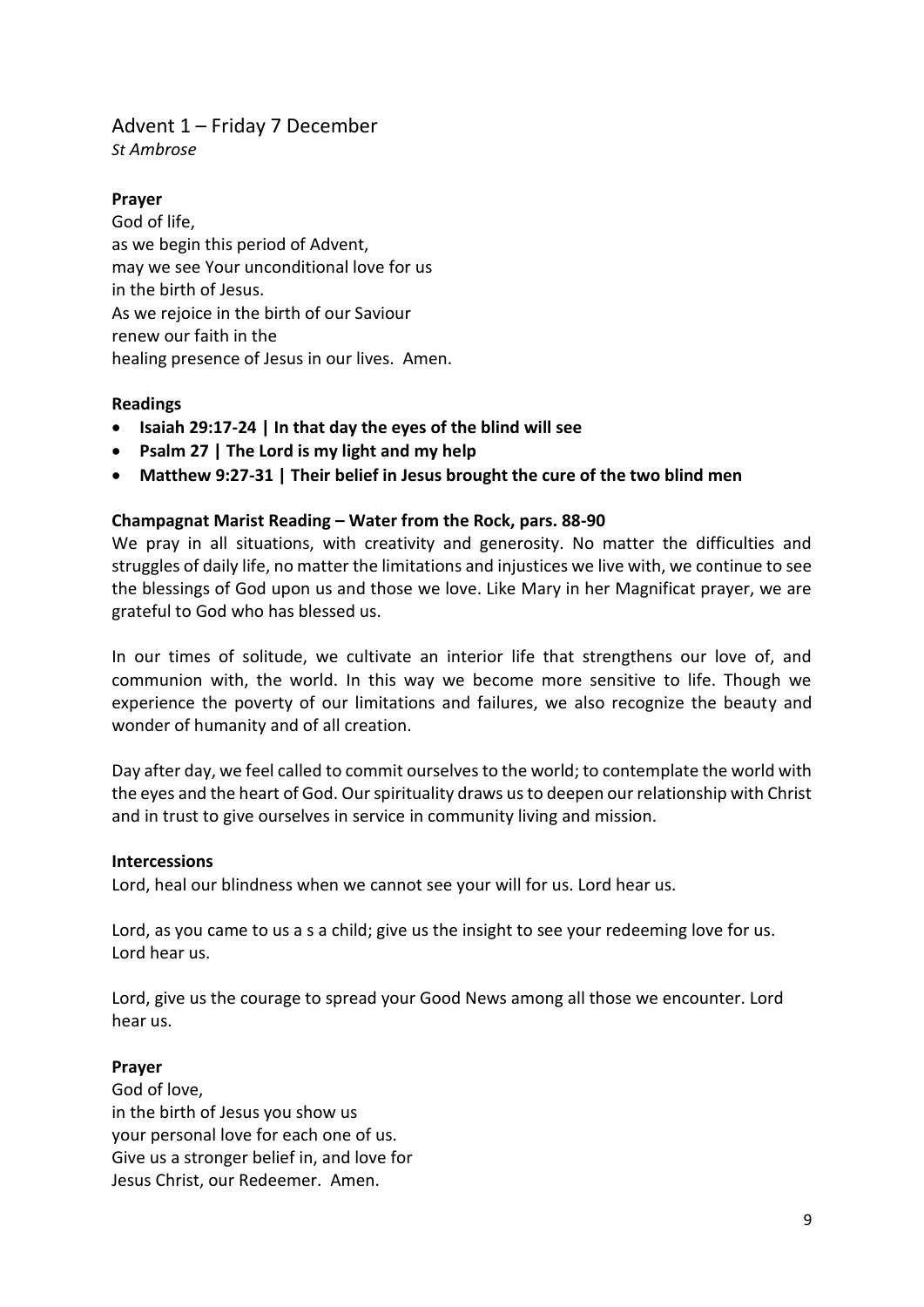## Advent 1 – Friday 7 December

*St Ambrose*

## **Prayer**

God of life, as we begin this period of Advent, may we see Your unconditional love for us in the birth of Jesus. As we rejoice in the birth of our Saviour renew our faith in the healing presence of Jesus in our lives. Amen.

## **Readings**

- **Isaiah 29:17-24 | In that day the eyes of the blind will see**
- **Psalm 27 | The Lord is my light and my help**
- **Matthew 9:27-31 | Their belief in Jesus brought the cure of the two blind men**

## **Champagnat Marist Reading – Water from the Rock, pars. 88-90**

We pray in all situations, with creativity and generosity. No matter the difficulties and struggles of daily life, no matter the limitations and injustices we live with, we continue to see the blessings of God upon us and those we love. Like Mary in her Magnificat prayer, we are grateful to God who has blessed us.

In our times of solitude, we cultivate an interior life that strengthens our love of, and communion with, the world. In this way we become more sensitive to life. Though we experience the poverty of our limitations and failures, we also recognize the beauty and wonder of humanity and of all creation.

Day after day, we feel called to commit ourselves to the world; to contemplate the world with the eyes and the heart of God. Our spirituality draws us to deepen our relationship with Christ and in trust to give ourselves in service in community living and mission.

## **Intercessions**

Lord, heal our blindness when we cannot see your will for us. Lord hear us.

Lord, as you came to us a s a child; give us the insight to see your redeeming love for us. Lord hear us.

Lord, give us the courage to spread your Good News among all those we encounter. Lord hear us.

## **Prayer**

God of love, in the birth of Jesus you show us your personal love for each one of us. Give us a stronger belief in, and love for Jesus Christ, our Redeemer. Amen.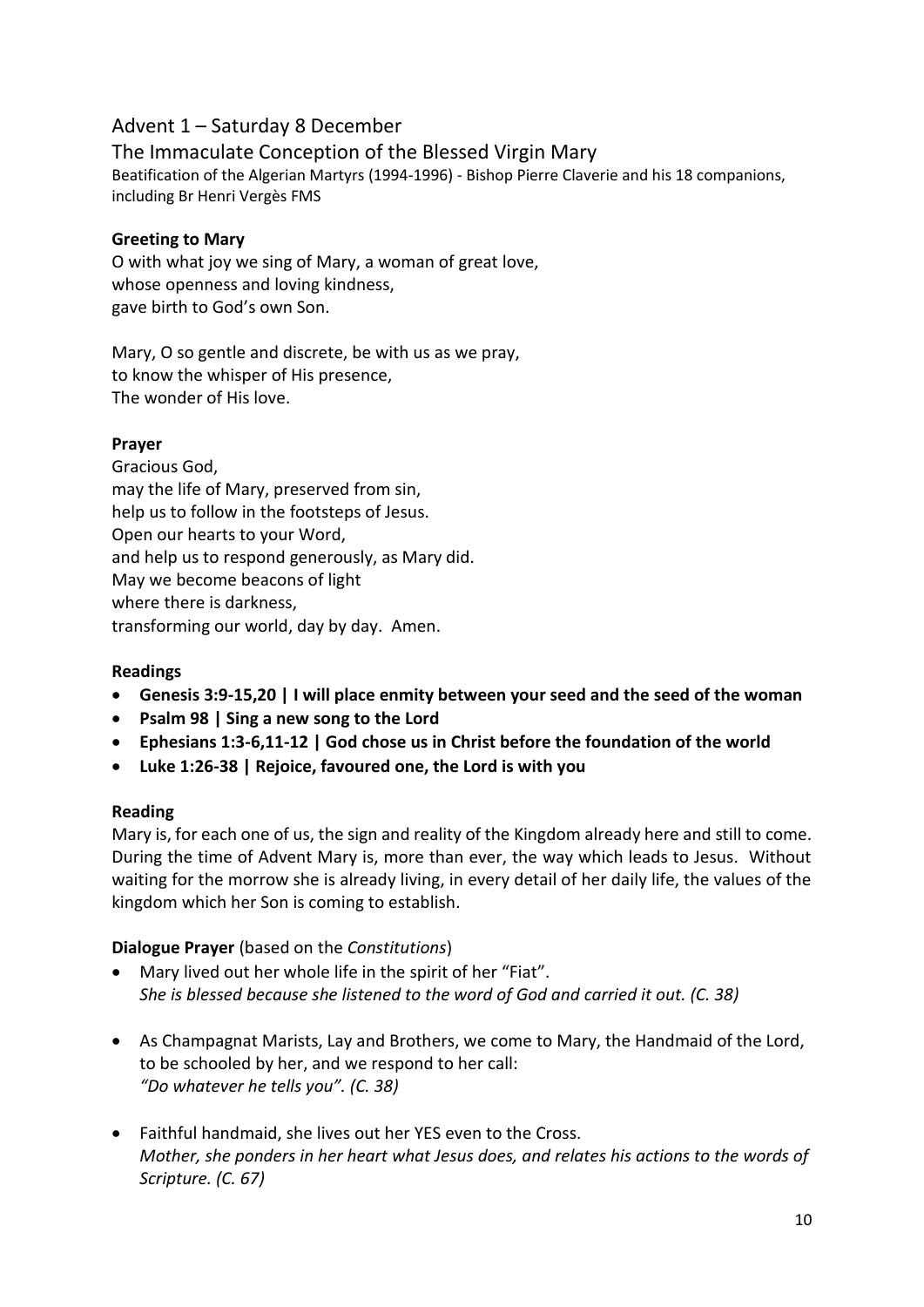## Advent 1 – Saturday 8 December

The Immaculate Conception of the Blessed Virgin Mary Beatification of the Algerian Martyrs (1994-1996) - Bishop Pierre Claverie and his 18 companions, including Br Henri Vergès FMS

## **Greeting to Mary**

O with what joy we sing of Mary, a woman of great love, whose openness and loving kindness, gave birth to God's own Son.

Mary, O so gentle and discrete, be with us as we pray, to know the whisper of His presence, The wonder of His love.

## **Prayer**

Gracious God, may the life of Mary, preserved from sin, help us to follow in the footsteps of Jesus. Open our hearts to your Word, and help us to respond generously, as Mary did. May we become beacons of light where there is darkness, transforming our world, day by day. Amen.

#### **Readings**

- **Genesis 3:9-15,20 | I will place enmity between your seed and the seed of the woman**
- **Psalm 98 | Sing a new song to the Lord**
- **Ephesians 1:3-6,11-12 | God chose us in Christ before the foundation of the world**
- **Luke 1:26-38 | Rejoice, favoured one, the Lord is with you**

#### **Reading**

Mary is, for each one of us, the sign and reality of the Kingdom already here and still to come. During the time of Advent Mary is, more than ever, the way which leads to Jesus. Without waiting for the morrow she is already living, in every detail of her daily life, the values of the kingdom which her Son is coming to establish.

#### **Dialogue Prayer** (based on the *Constitutions*)

- Mary lived out her whole life in the spirit of her "Fiat". *She is blessed because she listened to the word of God and carried it out. (C. 38)*
- As Champagnat Marists, Lay and Brothers, we come to Mary, the Handmaid of the Lord, to be schooled by her, and we respond to her call: *"Do whatever he tells you". (C. 38)*
- Faithful handmaid, she lives out her YES even to the Cross. *Mother, she ponders in her heart what Jesus does, and relates his actions to the words of Scripture. (C. 67)*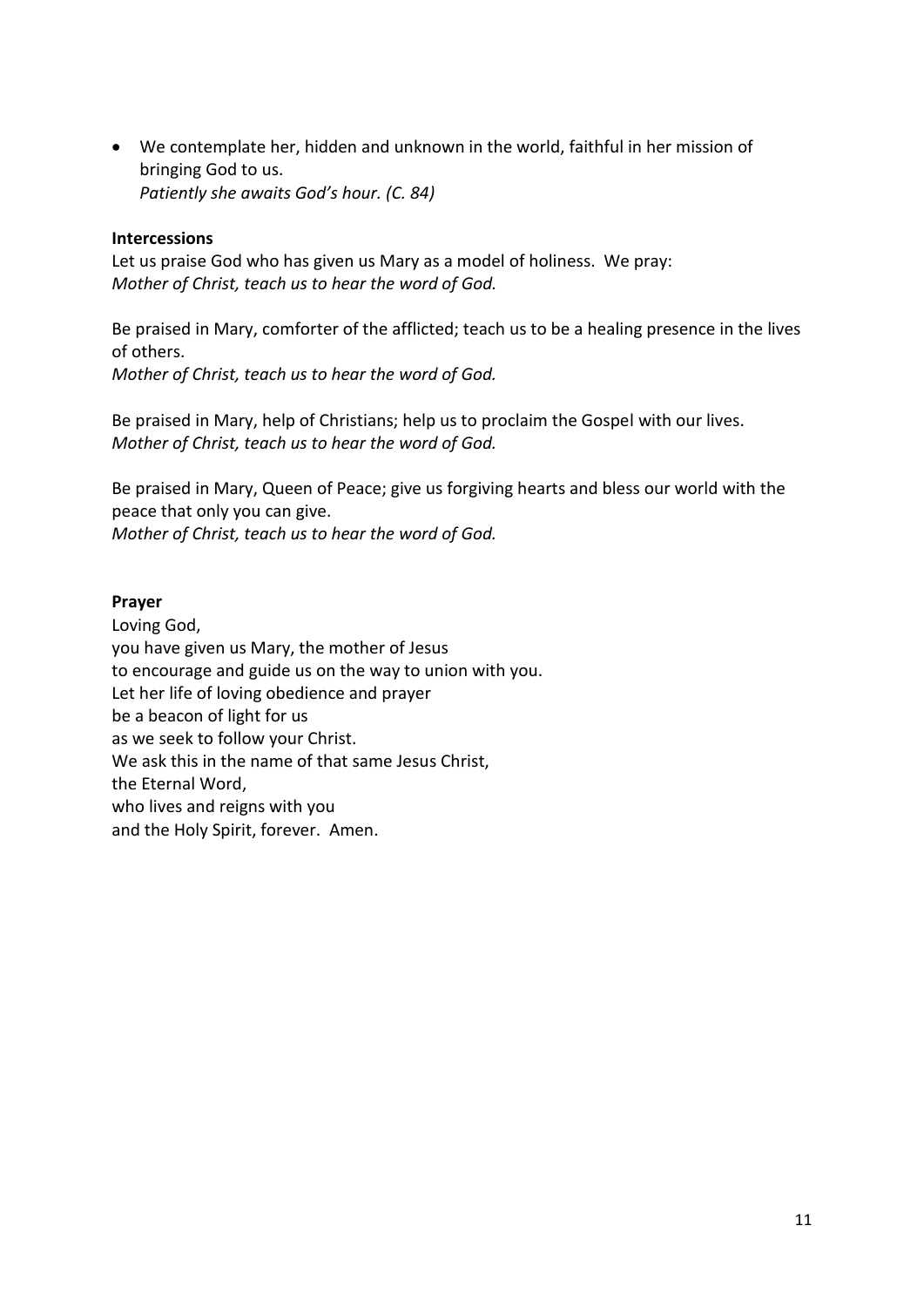• We contemplate her, hidden and unknown in the world, faithful in her mission of bringing God to us. *Patiently she awaits God's hour. (C. 84)*

#### **Intercessions**

Let us praise God who has given us Mary as a model of holiness. We pray: *Mother of Christ, teach us to hear the word of God.*

Be praised in Mary, comforter of the afflicted; teach us to be a healing presence in the lives of others. *Mother of Christ, teach us to hear the word of God.*

Be praised in Mary, help of Christians; help us to proclaim the Gospel with our lives. *Mother of Christ, teach us to hear the word of God.*

Be praised in Mary, Queen of Peace; give us forgiving hearts and bless our world with the peace that only you can give. *Mother of Christ, teach us to hear the word of God.*

#### **Prayer**

Loving God, you have given us Mary, the mother of Jesus to encourage and guide us on the way to union with you. Let her life of loving obedience and prayer be a beacon of light for us as we seek to follow your Christ. We ask this in the name of that same Jesus Christ, the Eternal Word, who lives and reigns with you and the Holy Spirit, forever. Amen.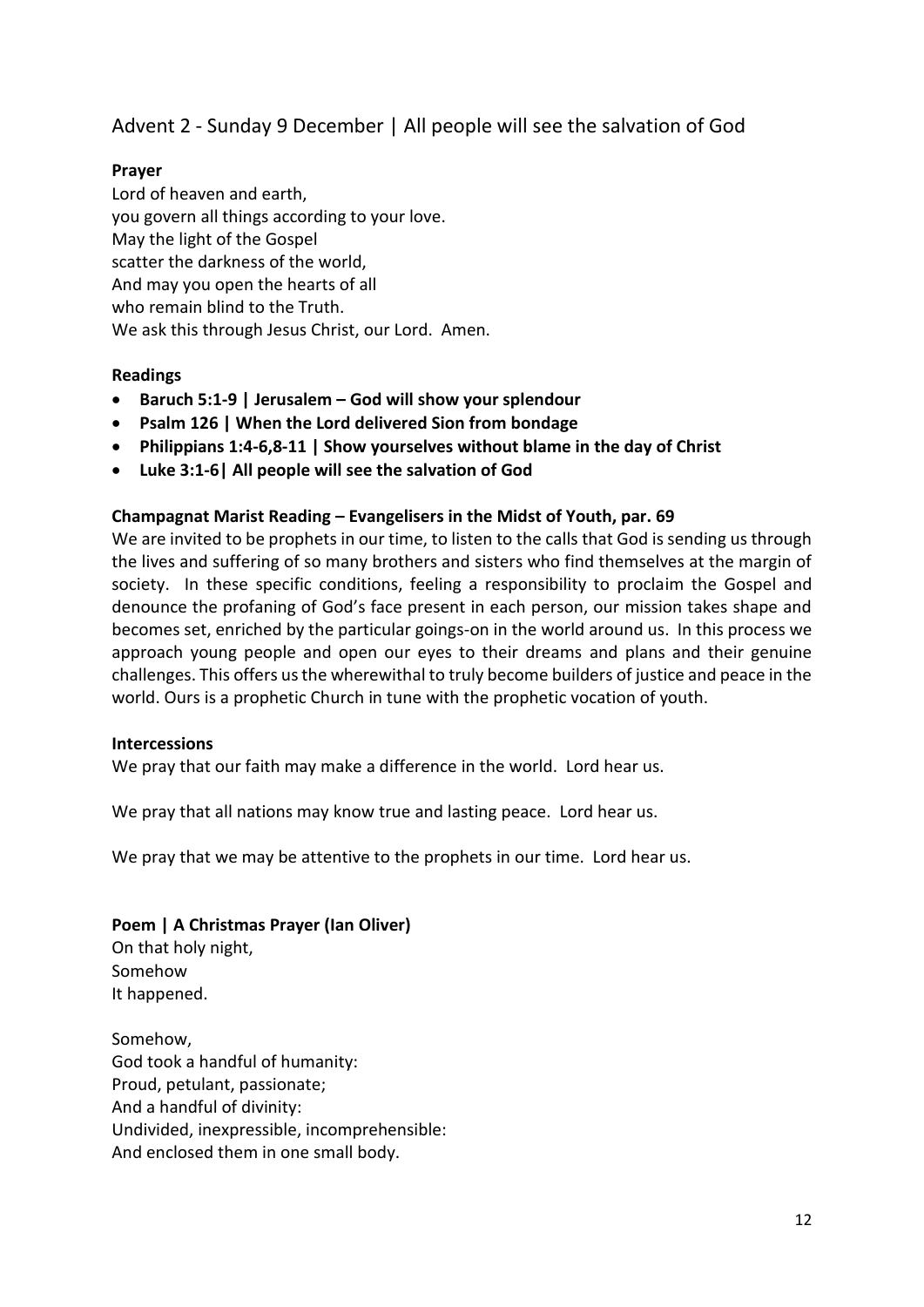Advent 2 - Sunday 9 December | All people will see the salvation of God

## **Prayer**

Lord of heaven and earth, you govern all things according to your love. May the light of the Gospel scatter the darkness of the world, And may you open the hearts of all who remain blind to the Truth. We ask this through Jesus Christ, our Lord. Amen.

## **Readings**

- **Baruch 5:1-9 | Jerusalem – God will show your splendour**
- **Psalm 126 | When the Lord delivered Sion from bondage**
- **Philippians 1:4-6,8-11 | Show yourselves without blame in the day of Christ**
- **Luke 3:1-6| All people will see the salvation of God**

#### **Champagnat Marist Reading – Evangelisers in the Midst of Youth, par. 69**

We are invited to be prophets in our time, to listen to the calls that God is sending us through the lives and suffering of so many brothers and sisters who find themselves at the margin of society. In these specific conditions, feeling a responsibility to proclaim the Gospel and denounce the profaning of God's face present in each person, our mission takes shape and becomes set, enriched by the particular goings-on in the world around us. In this process we approach young people and open our eyes to their dreams and plans and their genuine challenges. This offers us the wherewithal to truly become builders of justice and peace in the world. Ours is a prophetic Church in tune with the prophetic vocation of youth.

#### **Intercessions**

We pray that our faith may make a difference in the world. Lord hear us.

We pray that all nations may know true and lasting peace. Lord hear us.

We pray that we may be attentive to the prophets in our time. Lord hear us.

#### **Poem | A Christmas Prayer (Ian Oliver)**

On that holy night, Somehow It happened.

Somehow, God took a handful of humanity: Proud, petulant, passionate; And a handful of divinity: Undivided, inexpressible, incomprehensible: And enclosed them in one small body.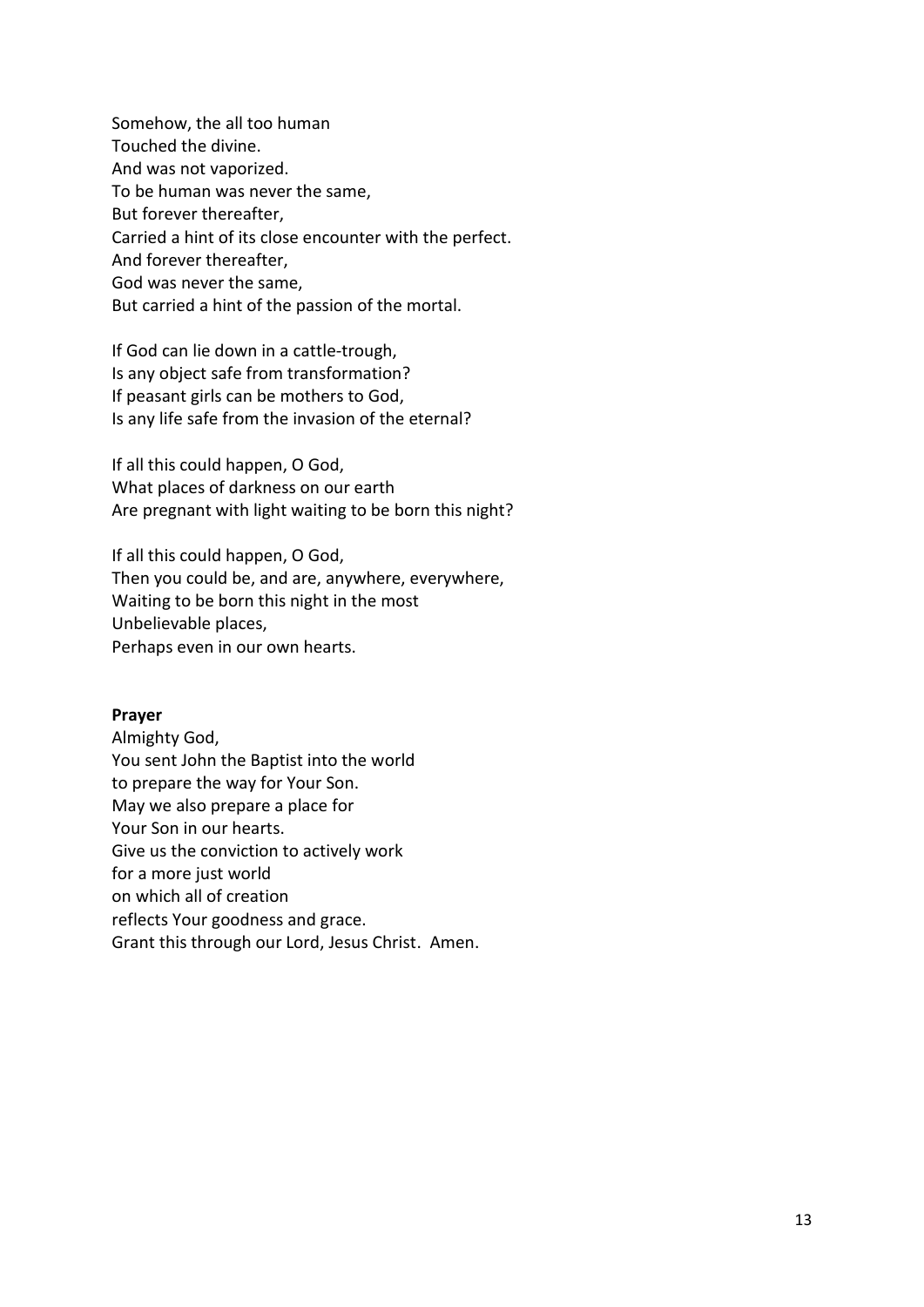Somehow, the all too human Touched the divine. And was not vaporized. To be human was never the same, But forever thereafter, Carried a hint of its close encounter with the perfect. And forever thereafter, God was never the same, But carried a hint of the passion of the mortal.

If God can lie down in a cattle-trough, Is any object safe from transformation? If peasant girls can be mothers to God, Is any life safe from the invasion of the eternal?

If all this could happen, O God, What places of darkness on our earth Are pregnant with light waiting to be born this night?

If all this could happen, O God, Then you could be, and are, anywhere, everywhere, Waiting to be born this night in the most Unbelievable places, Perhaps even in our own hearts.

#### **Prayer**

Almighty God, You sent John the Baptist into the world to prepare the way for Your Son. May we also prepare a place for Your Son in our hearts. Give us the conviction to actively work for a more just world on which all of creation reflects Your goodness and grace. Grant this through our Lord, Jesus Christ. Amen.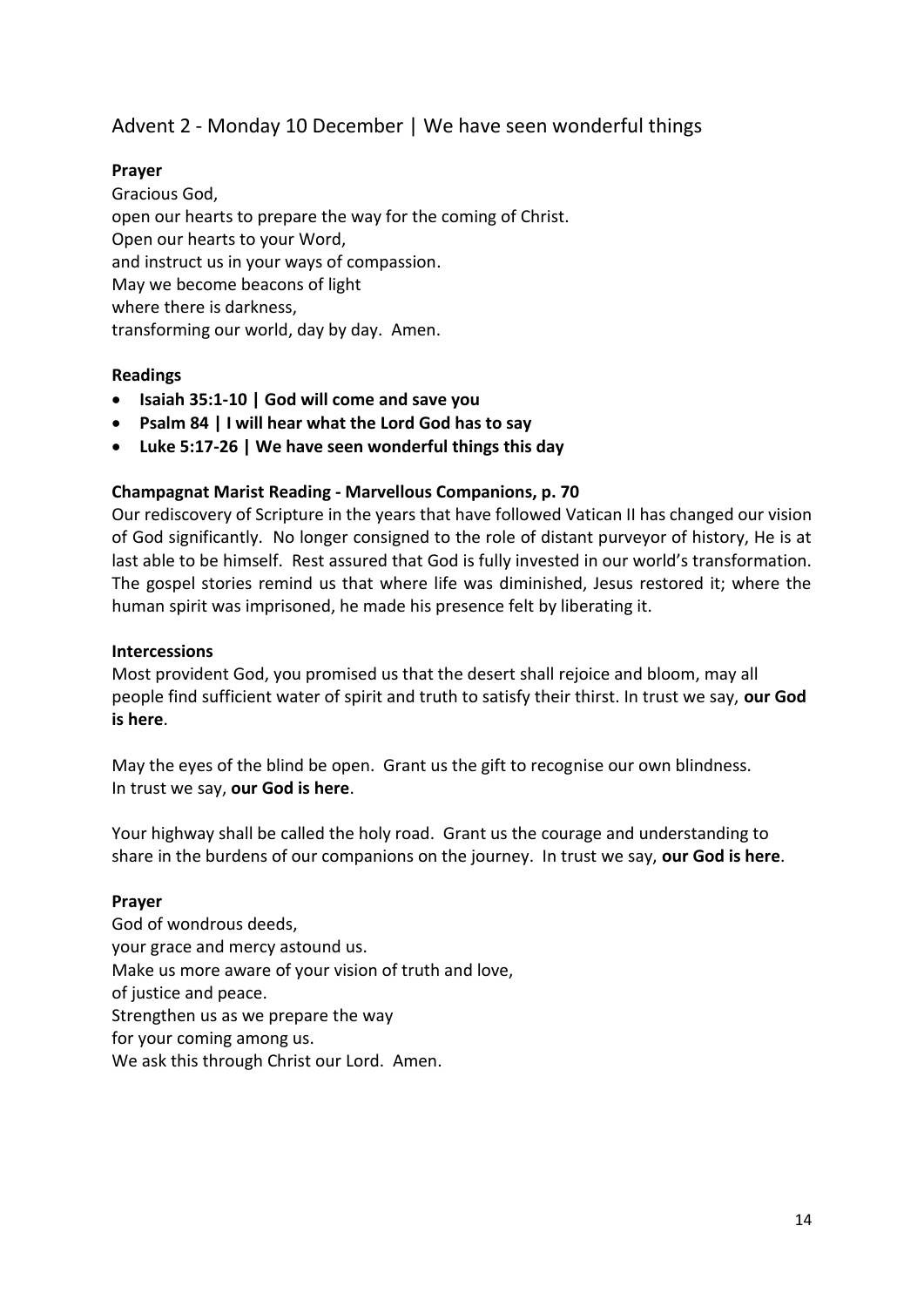## Advent 2 - Monday 10 December | We have seen wonderful things

## **Prayer**

Gracious God, open our hearts to prepare the way for the coming of Christ. Open our hearts to your Word, and instruct us in your ways of compassion. May we become beacons of light where there is darkness, transforming our world, day by day. Amen.

## **Readings**

- **Isaiah 35:1-10 | God will come and save you**
- **Psalm 84 | I will hear what the Lord God has to say**
- **Luke 5:17-26 | We have seen wonderful things this day**

#### **Champagnat Marist Reading - Marvellous Companions, p. 70**

Our rediscovery of Scripture in the years that have followed Vatican II has changed our vision of God significantly. No longer consigned to the role of distant purveyor of history, He is at last able to be himself. Rest assured that God is fully invested in our world's transformation. The gospel stories remind us that where life was diminished, Jesus restored it; where the human spirit was imprisoned, he made his presence felt by liberating it.

#### **Intercessions**

Most provident God, you promised us that the desert shall rejoice and bloom, may all people find sufficient water of spirit and truth to satisfy their thirst. In trust we say, **our God is here**.

May the eyes of the blind be open. Grant us the gift to recognise our own blindness. In trust we say, **our God is here**.

Your highway shall be called the holy road. Grant us the courage and understanding to share in the burdens of our companions on the journey. In trust we say, **our God is here**.

#### **Prayer**

God of wondrous deeds, your grace and mercy astound us. Make us more aware of your vision of truth and love, of justice and peace. Strengthen us as we prepare the way for your coming among us. We ask this through Christ our Lord. Amen.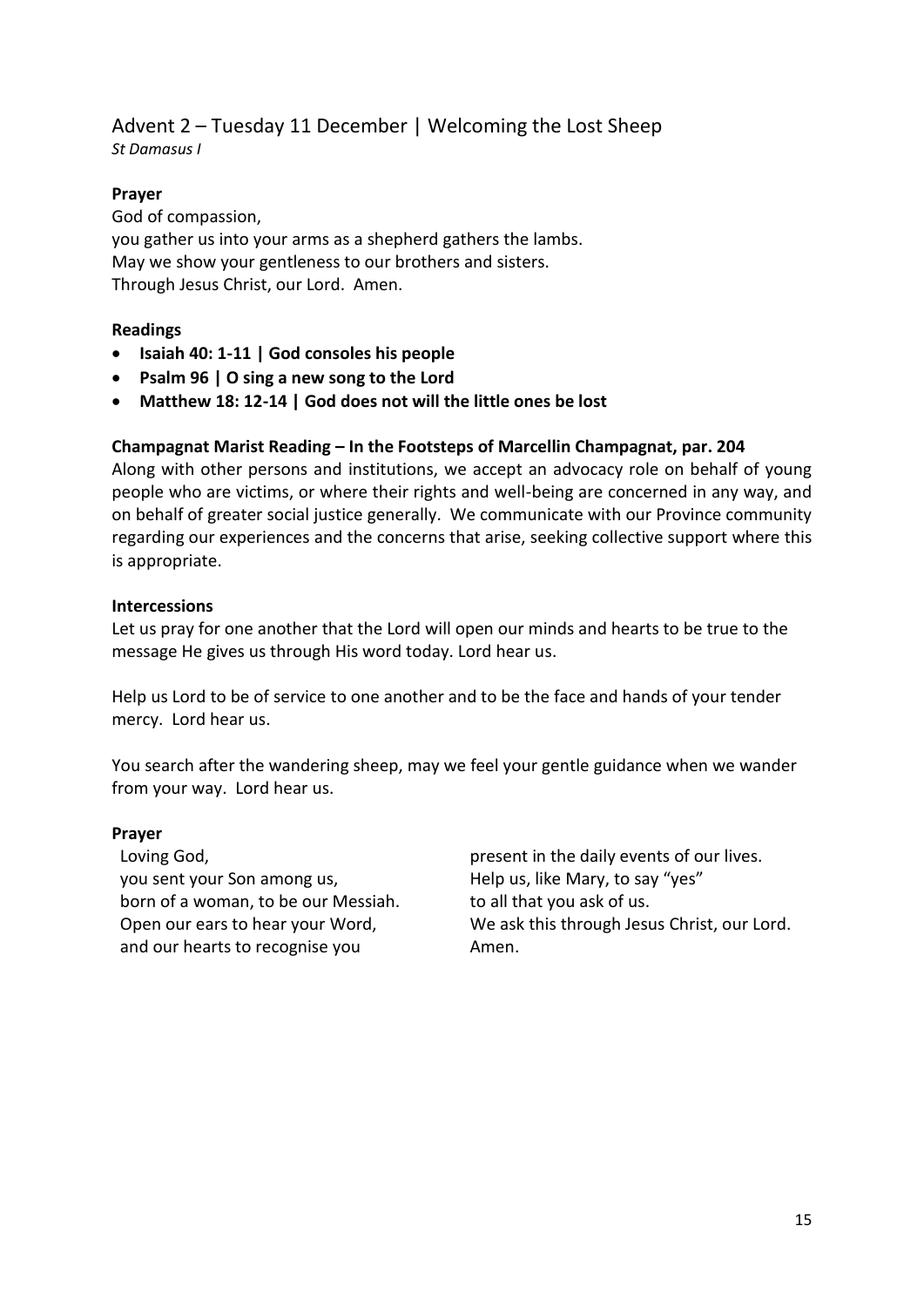#### Advent 2 – Tuesday 11 December | Welcoming the Lost Sheep *St Damasus I*

## **Prayer**

God of compassion, you gather us into your arms as a shepherd gathers the lambs. May we show your gentleness to our brothers and sisters. Through Jesus Christ, our Lord. Amen.

## **Readings**

- **Isaiah 40: 1-11 | God consoles his people**
- **Psalm 96 | O sing a new song to the Lord**
- **Matthew 18: 12-14 | God does not will the little ones be lost**

## **Champagnat Marist Reading – In the Footsteps of Marcellin Champagnat, par. 204**

Along with other persons and institutions, we accept an advocacy role on behalf of young people who are victims, or where their rights and well-being are concerned in any way, and on behalf of greater social justice generally. We communicate with our Province community regarding our experiences and the concerns that arise, seeking collective support where this is appropriate.

#### **Intercessions**

Let us pray for one another that the Lord will open our minds and hearts to be true to the message He gives us through His word today. Lord hear us.

Help us Lord to be of service to one another and to be the face and hands of your tender mercy. Lord hear us.

You search after the wandering sheep, may we feel your gentle guidance when we wander from your way. Lord hear us.

#### **Prayer**

Loving God, you sent your Son among us, born of a woman, to be our Messiah. Open our ears to hear your Word, and our hearts to recognise you

present in the daily events of our lives. Help us, like Mary, to say "yes" to all that you ask of us. We ask this through Jesus Christ, our Lord. Amen.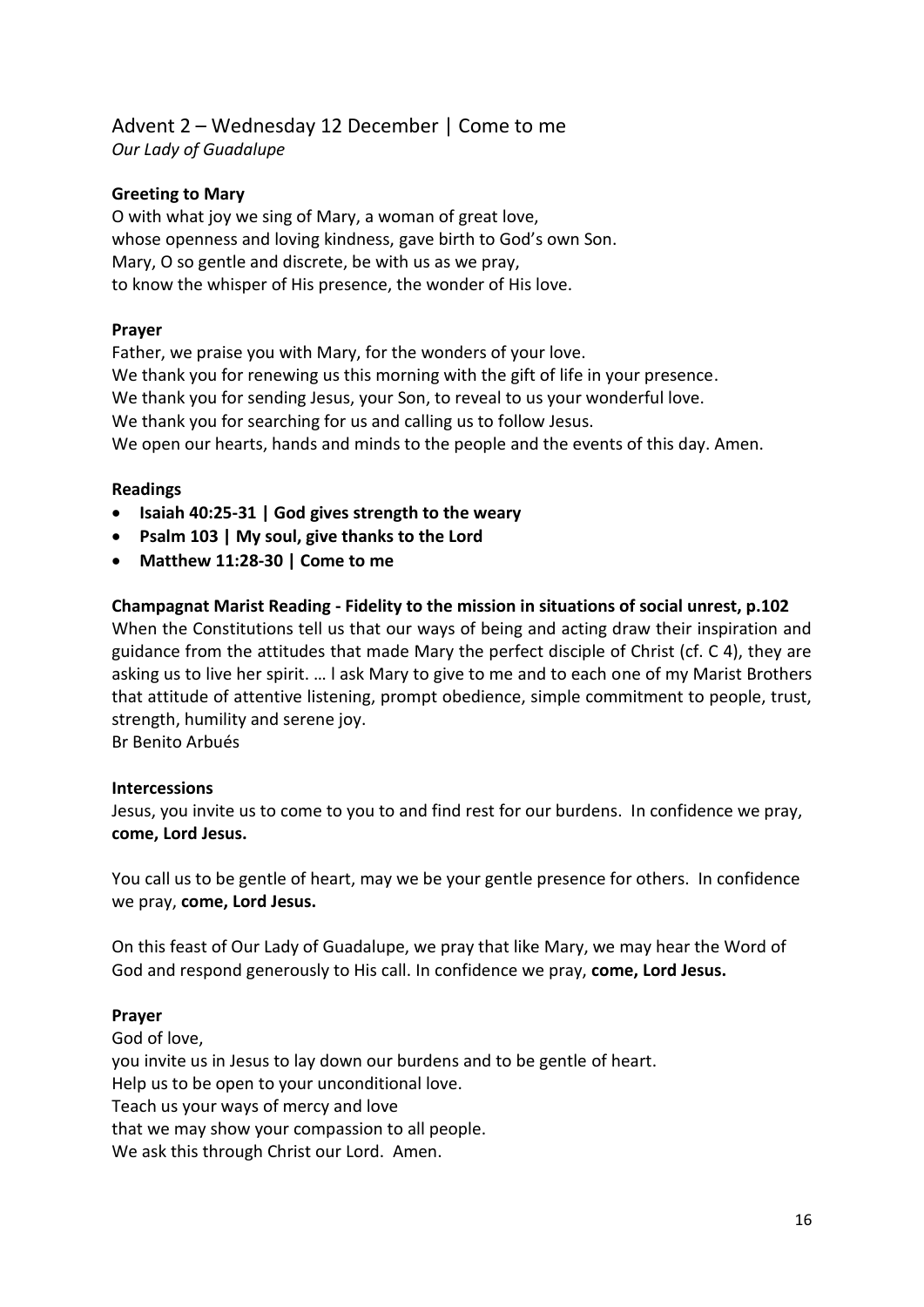## Advent 2 – Wednesday 12 December | Come to me *Our Lady of Guadalupe*

## **Greeting to Mary**

O with what joy we sing of Mary, a woman of great love, whose openness and loving kindness, gave birth to God's own Son. Mary, O so gentle and discrete, be with us as we pray, to know the whisper of His presence, the wonder of His love.

#### **Prayer**

Father, we praise you with Mary, for the wonders of your love. We thank you for renewing us this morning with the gift of life in your presence. We thank you for sending Jesus, your Son, to reveal to us your wonderful love. We thank you for searching for us and calling us to follow Jesus. We open our hearts, hands and minds to the people and the events of this day. Amen.

#### **Readings**

- **Isaiah 40:25-31 | God gives strength to the weary**
- **Psalm 103 | My soul, give thanks to the Lord**
- **Matthew 11:28-30 | Come to me**

#### **Champagnat Marist Reading - Fidelity to the mission in situations of social unrest, p.102**

When the Constitutions tell us that our ways of being and acting draw their inspiration and guidance from the attitudes that made Mary the perfect disciple of Christ (cf. C 4), they are asking us to live her spirit. … l ask Mary to give to me and to each one of my Marist Brothers that attitude of attentive listening, prompt obedience, simple commitment to people, trust, strength, humility and serene joy.

Br Benito Arbués

#### **Intercessions**

Jesus, you invite us to come to you to and find rest for our burdens. In confidence we pray, **come, Lord Jesus.** 

You call us to be gentle of heart, may we be your gentle presence for others. In confidence we pray, **come, Lord Jesus.** 

On this feast of Our Lady of Guadalupe, we pray that like Mary, we may hear the Word of God and respond generously to His call. In confidence we pray, **come, Lord Jesus.** 

#### **Prayer**

God of love, you invite us in Jesus to lay down our burdens and to be gentle of heart. Help us to be open to your unconditional love. Teach us your ways of mercy and love that we may show your compassion to all people. We ask this through Christ our Lord. Amen.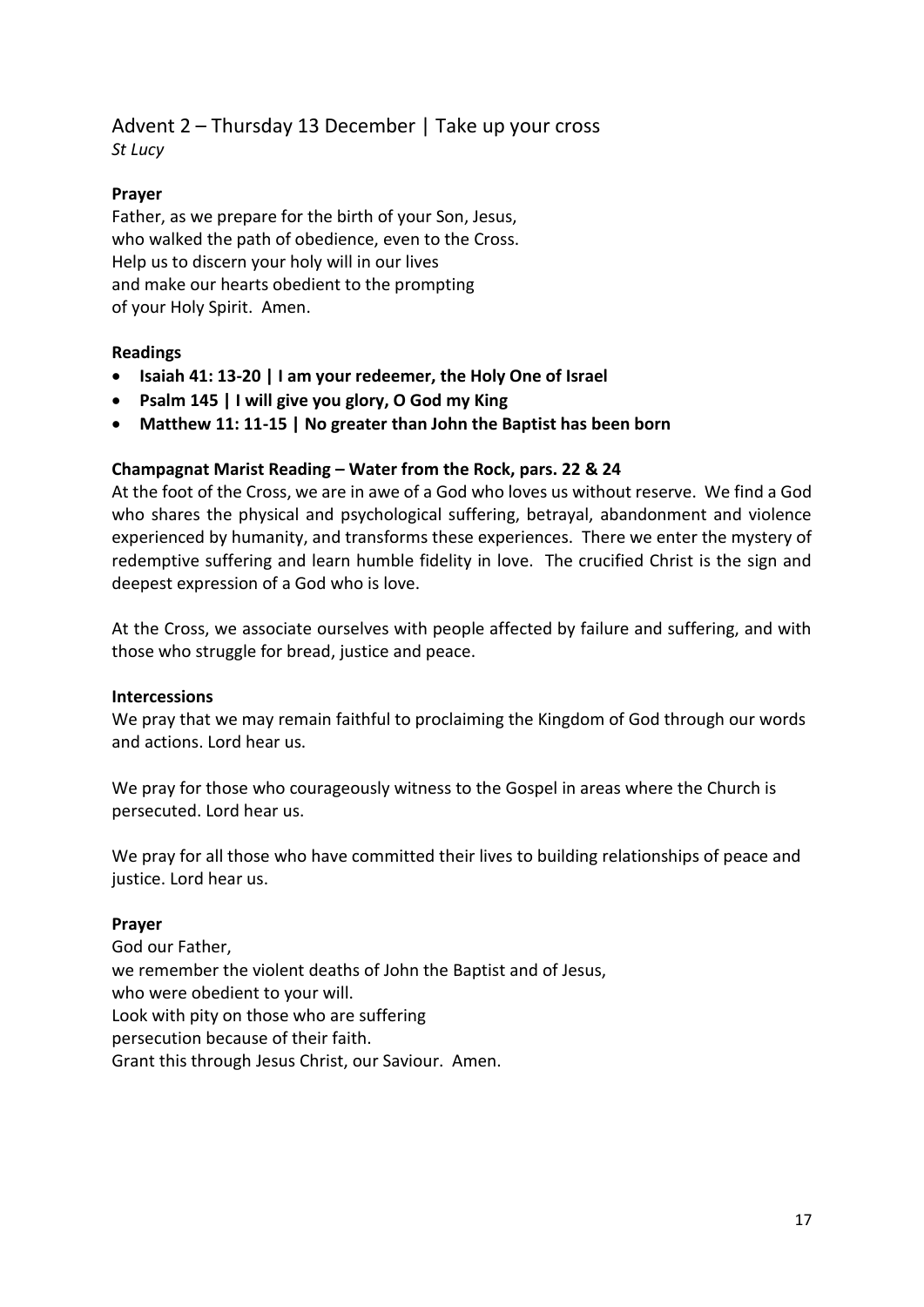## Advent 2 – Thursday 13 December | Take up your cross *St Lucy*

## **Prayer**

Father, as we prepare for the birth of your Son, Jesus, who walked the path of obedience, even to the Cross. Help us to discern your holy will in our lives and make our hearts obedient to the prompting of your Holy Spirit. Amen.

## **Readings**

- **Isaiah 41: 13-20 | I am your redeemer, the Holy One of Israel**
- **Psalm 145 | I will give you glory, O God my King**
- **Matthew 11: 11-15 | No greater than John the Baptist has been born**

#### **Champagnat Marist Reading – Water from the Rock, pars. 22 & 24**

At the foot of the Cross, we are in awe of a God who loves us without reserve. We find a God who shares the physical and psychological suffering, betrayal, abandonment and violence experienced by humanity, and transforms these experiences. There we enter the mystery of redemptive suffering and learn humble fidelity in love. The crucified Christ is the sign and deepest expression of a God who is love.

At the Cross, we associate ourselves with people affected by failure and suffering, and with those who struggle for bread, justice and peace.

#### **Intercessions**

We pray that we may remain faithful to proclaiming the Kingdom of God through our words and actions. Lord hear us.

We pray for those who courageously witness to the Gospel in areas where the Church is persecuted. Lord hear us.

We pray for all those who have committed their lives to building relationships of peace and justice. Lord hear us.

## **Prayer**

God our Father, we remember the violent deaths of John the Baptist and of Jesus, who were obedient to your will. Look with pity on those who are suffering persecution because of their faith. Grant this through Jesus Christ, our Saviour. Amen.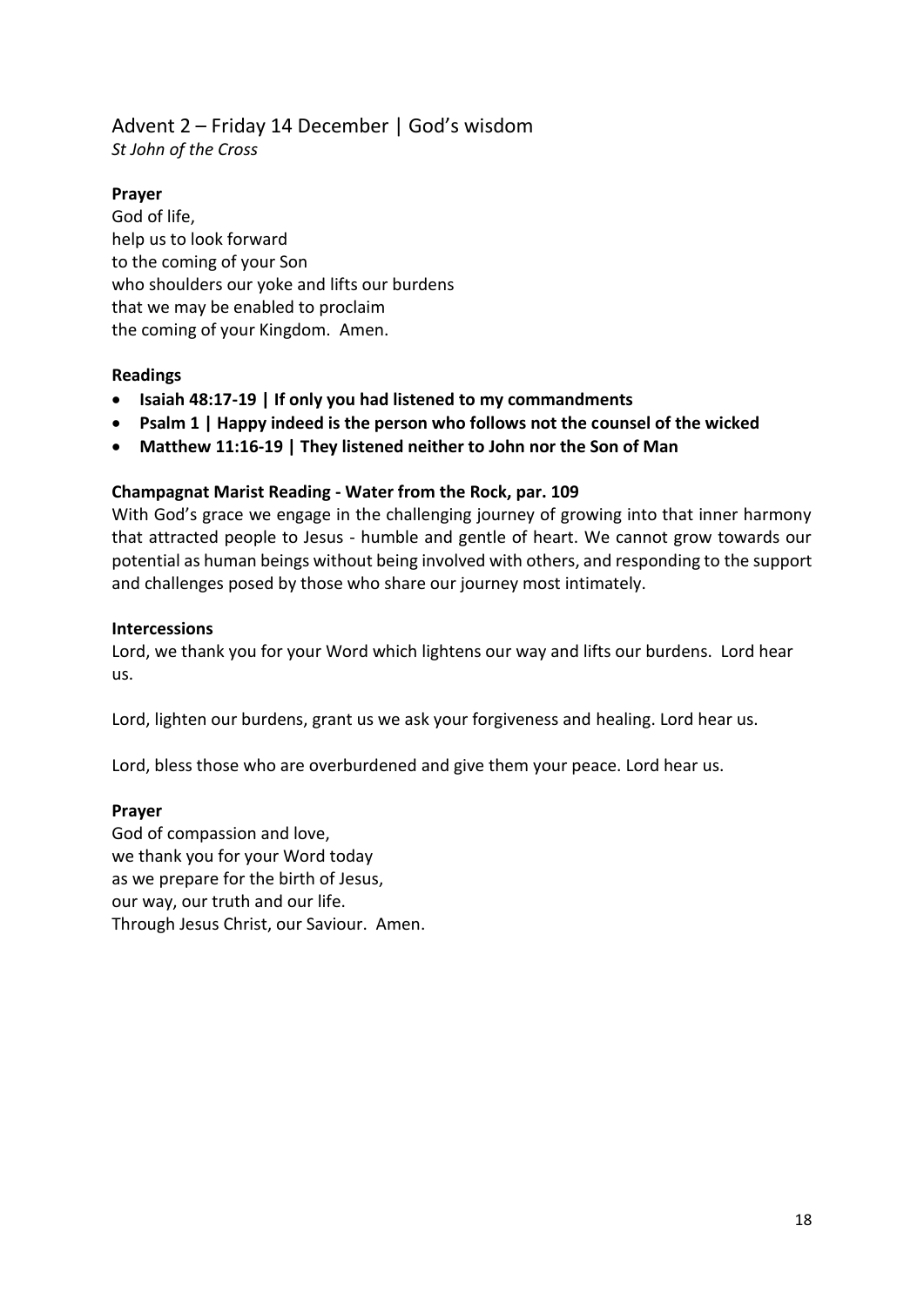## Advent 2 – Friday 14 December | God's wisdom

*St John of the Cross*

## **Prayer**

God of life, help us to look forward to the coming of your Son who shoulders our yoke and lifts our burdens that we may be enabled to proclaim the coming of your Kingdom. Amen.

## **Readings**

- **Isaiah 48:17-19 | If only you had listened to my commandments**
- **Psalm 1 | Happy indeed is the person who follows not the counsel of the wicked**
- **Matthew 11:16-19 | They listened neither to John nor the Son of Man**

## **Champagnat Marist Reading - Water from the Rock, par. 109**

With God's grace we engage in the challenging journey of growing into that inner harmony that attracted people to Jesus - humble and gentle of heart. We cannot grow towards our potential as human beings without being involved with others, and responding to the support and challenges posed by those who share our journey most intimately.

## **Intercessions**

Lord, we thank you for your Word which lightens our way and lifts our burdens. Lord hear us.

Lord, lighten our burdens, grant us we ask your forgiveness and healing. Lord hear us.

Lord, bless those who are overburdened and give them your peace. Lord hear us.

## **Prayer**

God of compassion and love, we thank you for your Word today as we prepare for the birth of Jesus, our way, our truth and our life. Through Jesus Christ, our Saviour. Amen.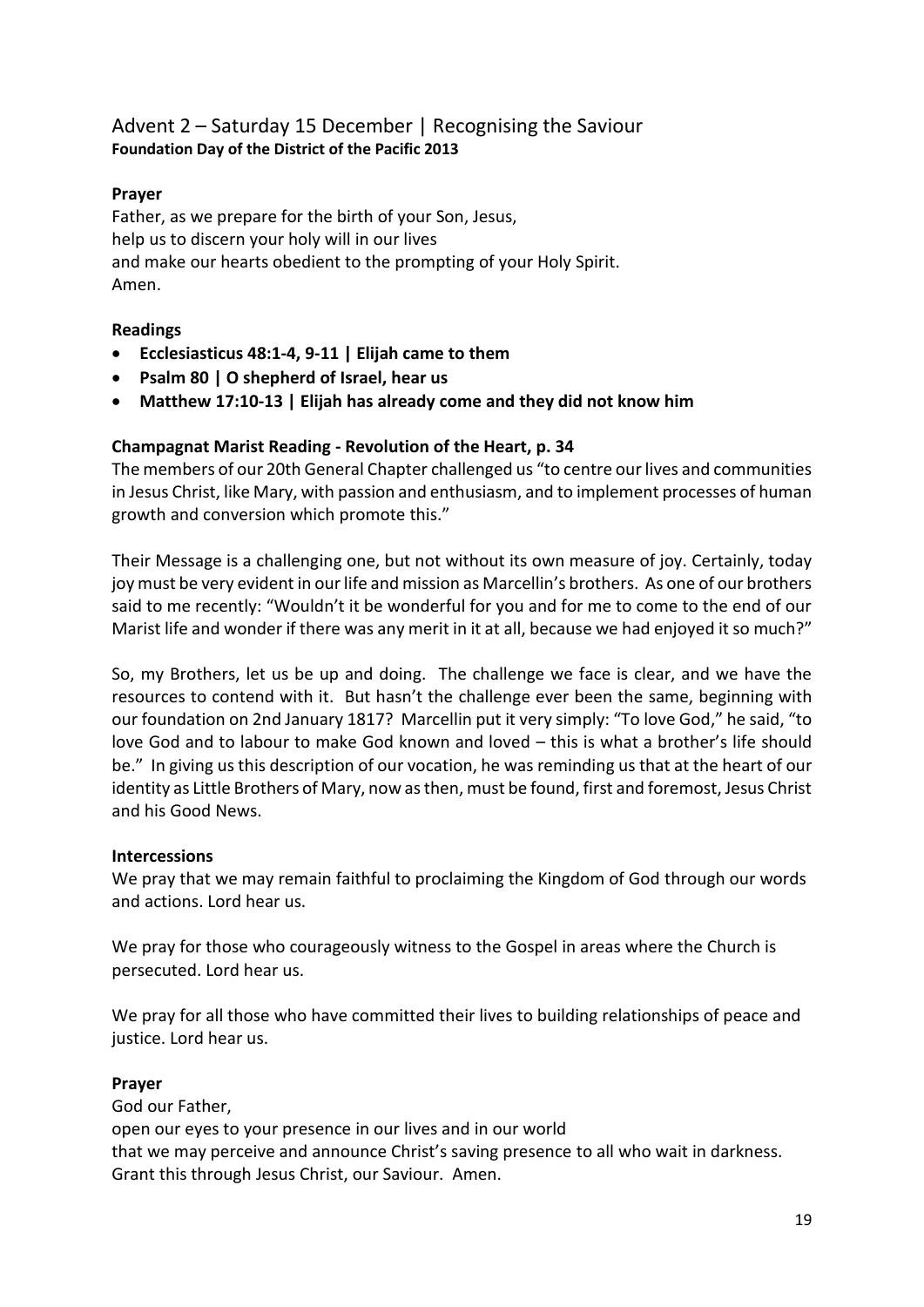## Advent 2 – Saturday 15 December | Recognising the Saviour **Foundation Day of the District of the Pacific 2013**

## **Prayer**

Father, as we prepare for the birth of your Son, Jesus, help us to discern your holy will in our lives and make our hearts obedient to the prompting of your Holy Spirit. Amen.

## **Readings**

- **Ecclesiasticus 48:1-4, 9-11 | Elijah came to them**
- **Psalm 80 | O shepherd of Israel, hear us**
- **Matthew 17:10-13 | Elijah has already come and they did not know him**

## **Champagnat Marist Reading - Revolution of the Heart, p. 34**

The members of our 20th General Chapter challenged us "to centre our lives and communities in Jesus Christ, like Mary, with passion and enthusiasm, and to implement processes of human growth and conversion which promote this."

Their Message is a challenging one, but not without its own measure of joy. Certainly, today joy must be very evident in our life and mission as Marcellin's brothers. As one of our brothers said to me recently: "Wouldn't it be wonderful for you and for me to come to the end of our Marist life and wonder if there was any merit in it at all, because we had enjoyed it so much?"

So, my Brothers, let us be up and doing. The challenge we face is clear, and we have the resources to contend with it. But hasn't the challenge ever been the same, beginning with our foundation on 2nd January 1817? Marcellin put it very simply: "To love God," he said, "to love God and to labour to make God known and loved – this is what a brother's life should be." In giving us this description of our vocation, he was reminding us that at the heart of our identity as Little Brothers of Mary, now as then, must be found, first and foremost, Jesus Christ and his Good News.

## **Intercessions**

We pray that we may remain faithful to proclaiming the Kingdom of God through our words and actions. Lord hear us.

We pray for those who courageously witness to the Gospel in areas where the Church is persecuted. Lord hear us.

We pray for all those who have committed their lives to building relationships of peace and justice. Lord hear us.

## **Prayer**

God our Father,

open our eyes to your presence in our lives and in our world that we may perceive and announce Christ's saving presence to all who wait in darkness. Grant this through Jesus Christ, our Saviour. Amen.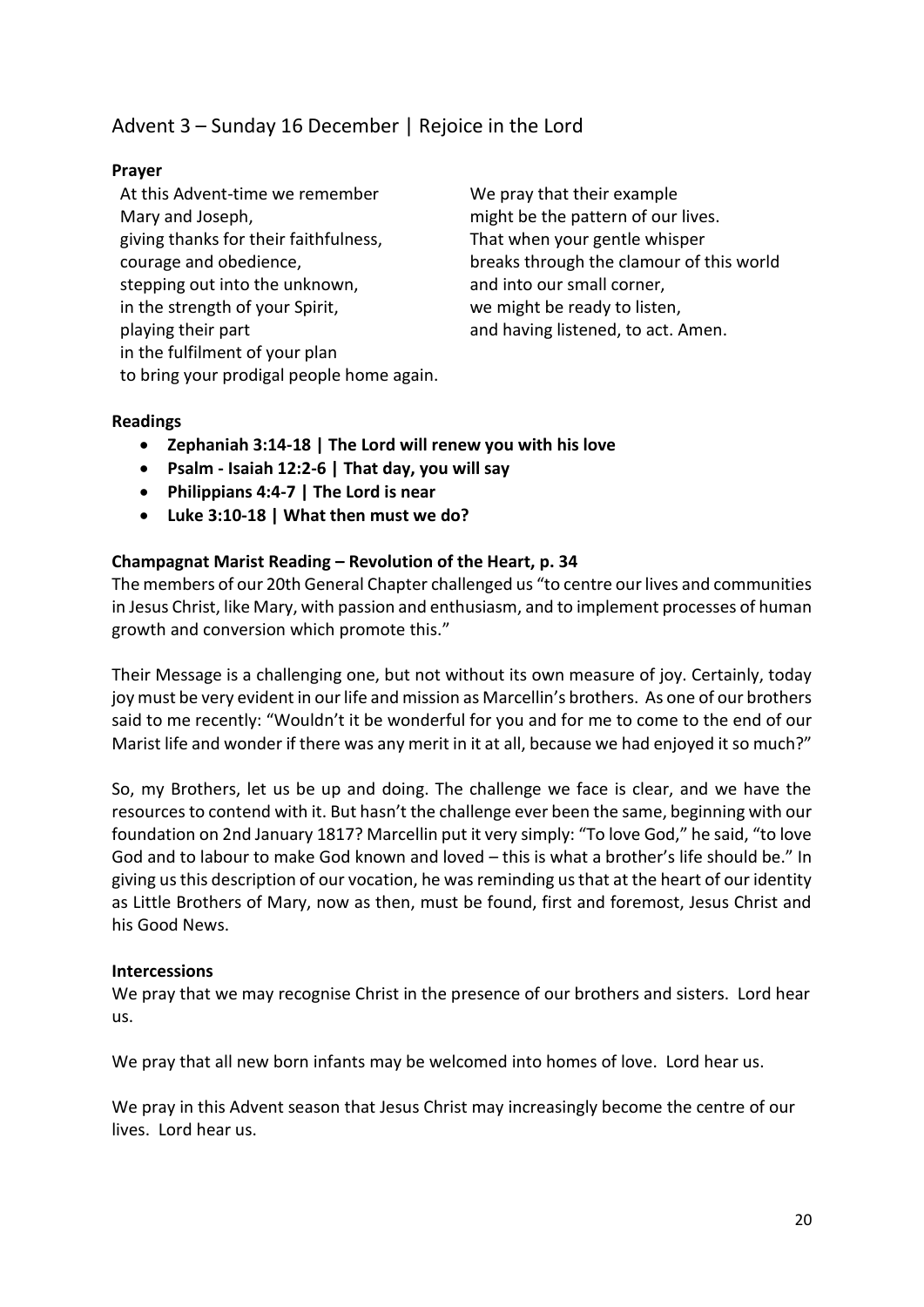## Advent 3 – Sunday 16 December | Rejoice in the Lord

## **Prayer**

At this Advent-time we remember Mary and Joseph, giving thanks for their faithfulness, courage and obedience, stepping out into the unknown, in the strength of your Spirit, playing their part in the fulfilment of your plan to bring your prodigal people home again. We pray that their example might be the pattern of our lives. That when your gentle whisper breaks through the clamour of this world and into our small corner, we might be ready to listen, and having listened, to act. Amen.

## **Readings**

- **Zephaniah 3:14-18 | The Lord will renew you with his love**
- **Psalm - Isaiah 12:2-6 | That day, you will say**
- **Philippians 4:4-7 | The Lord is near**
- **Luke 3:10-18 | What then must we do?**

## **Champagnat Marist Reading – Revolution of the Heart, p. 34**

The members of our 20th General Chapter challenged us "to centre our lives and communities in Jesus Christ, like Mary, with passion and enthusiasm, and to implement processes of human growth and conversion which promote this."

Their Message is a challenging one, but not without its own measure of joy. Certainly, today joy must be very evident in our life and mission as Marcellin's brothers. As one of our brothers said to me recently: "Wouldn't it be wonderful for you and for me to come to the end of our Marist life and wonder if there was any merit in it at all, because we had enjoyed it so much?"

So, my Brothers, let us be up and doing. The challenge we face is clear, and we have the resources to contend with it. But hasn't the challenge ever been the same, beginning with our foundation on 2nd January 1817? Marcellin put it very simply: "To love God," he said, "to love God and to labour to make God known and loved – this is what a brother's life should be." In giving us this description of our vocation, he was reminding us that at the heart of our identity as Little Brothers of Mary, now as then, must be found, first and foremost, Jesus Christ and his Good News.

#### **Intercessions**

We pray that we may recognise Christ in the presence of our brothers and sisters. Lord hear us.

We pray that all new born infants may be welcomed into homes of love. Lord hear us.

We pray in this Advent season that Jesus Christ may increasingly become the centre of our lives. Lord hear us.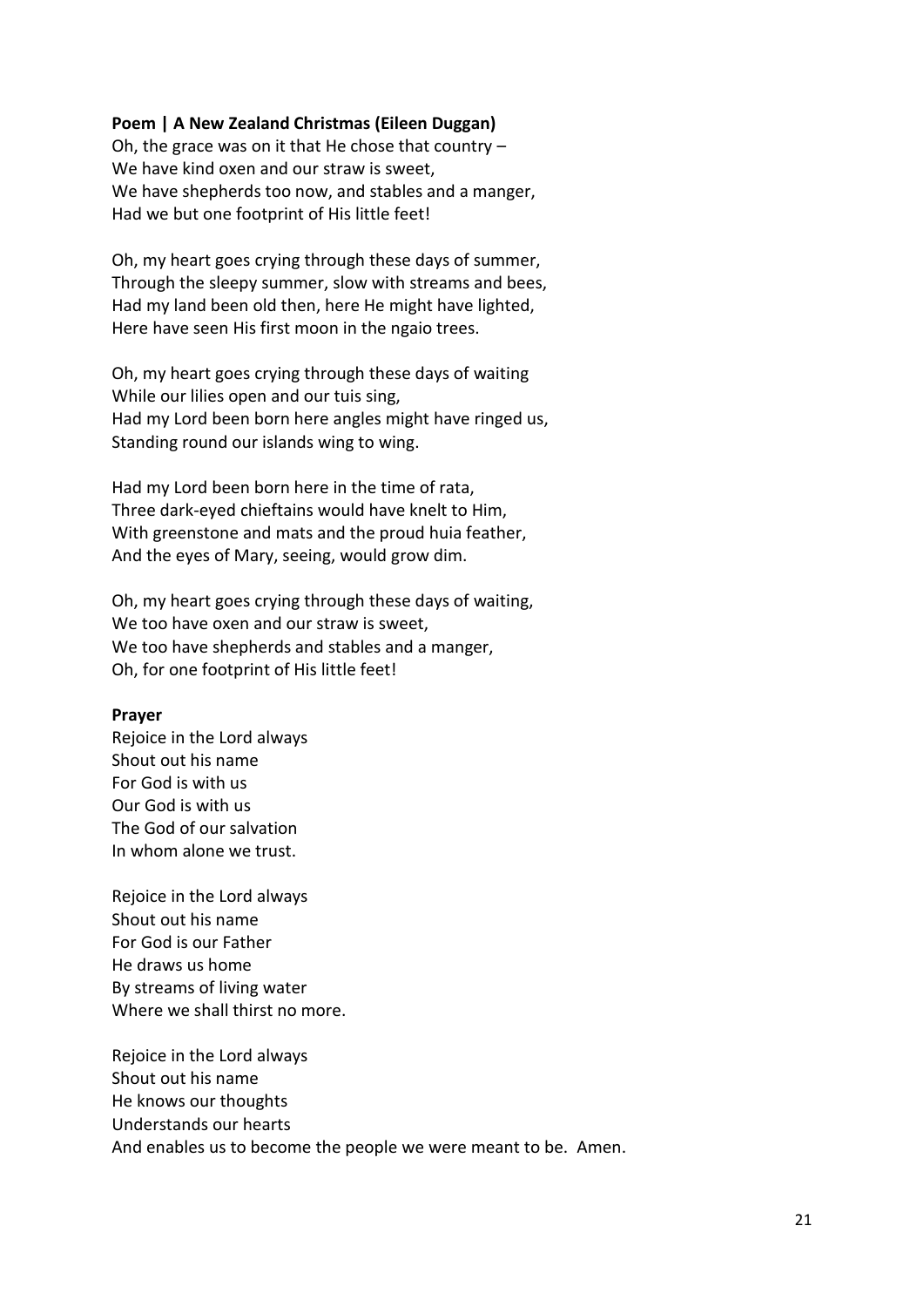#### **Poem | A New Zealand Christmas (Eileen Duggan)**

Oh, the grace was on it that He chose that country – We have kind oxen and our straw is sweet. We have shepherds too now, and stables and a manger, Had we but one footprint of His little feet!

Oh, my heart goes crying through these days of summer, Through the sleepy summer, slow with streams and bees, Had my land been old then, here He might have lighted, Here have seen His first moon in the ngaio trees.

Oh, my heart goes crying through these days of waiting While our lilies open and our tuis sing, Had my Lord been born here angles might have ringed us, Standing round our islands wing to wing.

Had my Lord been born here in the time of rata, Three dark-eyed chieftains would have knelt to Him, With greenstone and mats and the proud huia feather, And the eyes of Mary, seeing, would grow dim.

Oh, my heart goes crying through these days of waiting, We too have oxen and our straw is sweet, We too have shepherds and stables and a manger, Oh, for one footprint of His little feet!

#### **Prayer**

Rejoice in the Lord always Shout out his name For God is with us Our God is with us The God of our salvation In whom alone we trust.

Rejoice in the Lord always Shout out his name For God is our Father He draws us home By streams of living water Where we shall thirst no more.

Rejoice in the Lord always Shout out his name He knows our thoughts Understands our hearts And enables us to become the people we were meant to be. Amen.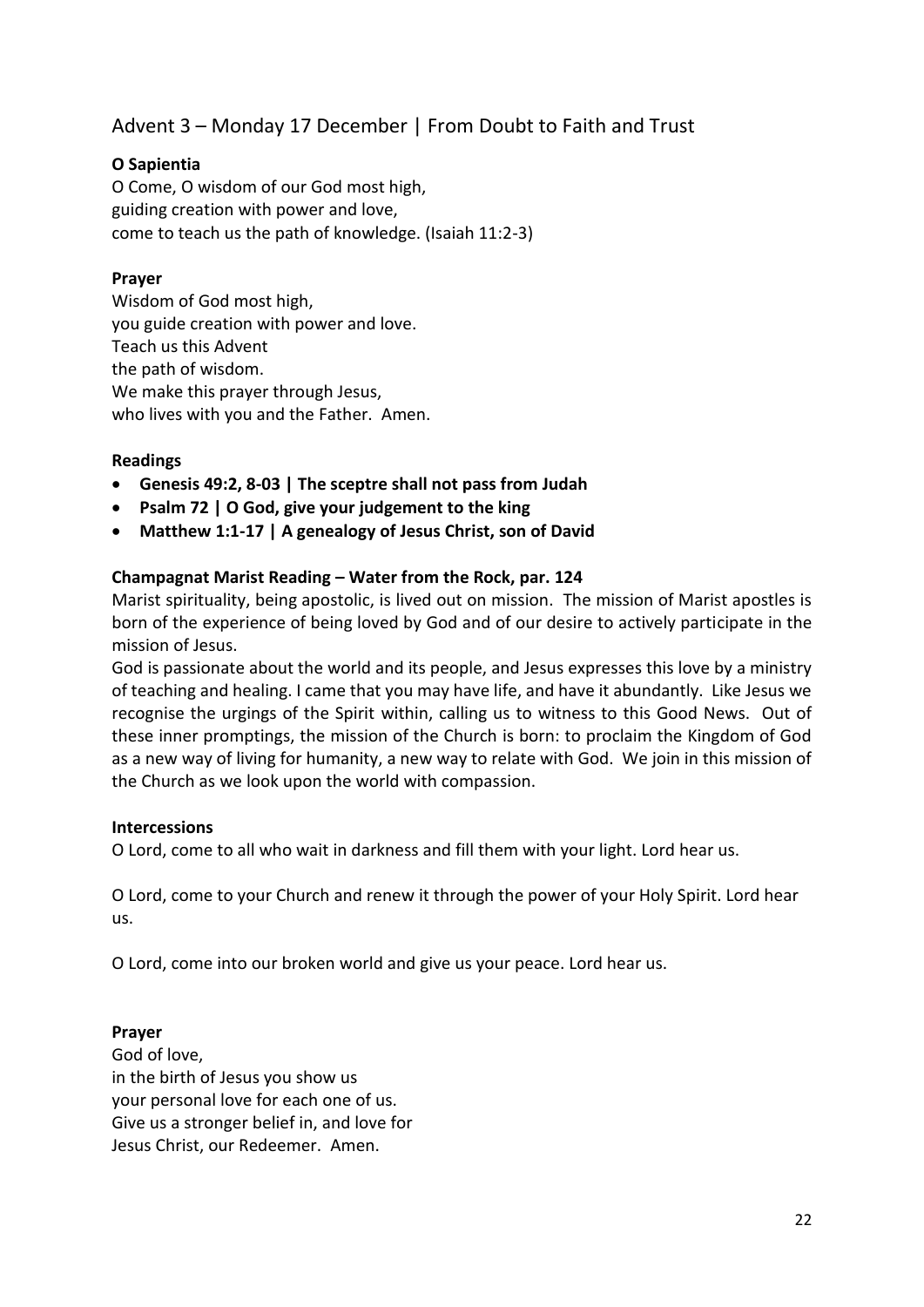Advent 3 – Monday 17 December | From Doubt to Faith and Trust

## **O Sapientia**

O Come, O wisdom of our God most high, guiding creation with power and love, come to teach us the path of knowledge. (Isaiah 11:2-3)

## **Prayer**

Wisdom of God most high, you guide creation with power and love. Teach us this Advent the path of wisdom. We make this prayer through Jesus, who lives with you and the Father. Amen.

## **Readings**

- **Genesis 49:2, 8-03 | The sceptre shall not pass from Judah**
- **Psalm 72 | O God, give your judgement to the king**
- **Matthew 1:1-17 | A genealogy of Jesus Christ, son of David**

## **Champagnat Marist Reading – Water from the Rock, par. 124**

Marist spirituality, being apostolic, is lived out on mission. The mission of Marist apostles is born of the experience of being loved by God and of our desire to actively participate in the mission of Jesus.

God is passionate about the world and its people, and Jesus expresses this love by a ministry of teaching and healing. I came that you may have life, and have it abundantly. Like Jesus we recognise the urgings of the Spirit within, calling us to witness to this Good News. Out of these inner promptings, the mission of the Church is born: to proclaim the Kingdom of God as a new way of living for humanity, a new way to relate with God. We join in this mission of the Church as we look upon the world with compassion.

## **Intercessions**

O Lord, come to all who wait in darkness and fill them with your light. Lord hear us.

O Lord, come to your Church and renew it through the power of your Holy Spirit. Lord hear us.

O Lord, come into our broken world and give us your peace. Lord hear us.

## **Prayer**

God of love, in the birth of Jesus you show us your personal love for each one of us. Give us a stronger belief in, and love for Jesus Christ, our Redeemer. Amen.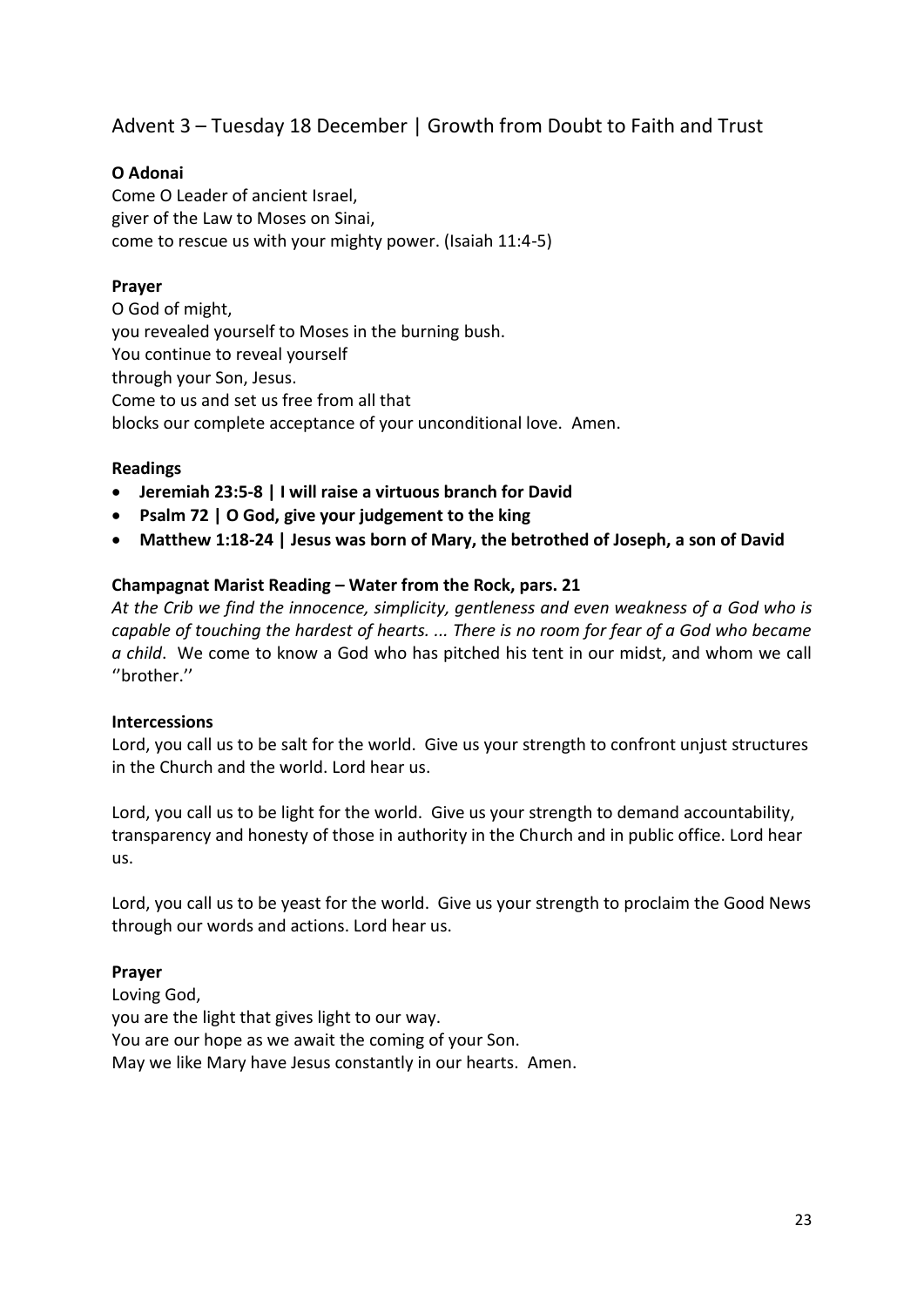Advent 3 – Tuesday 18 December | Growth from Doubt to Faith and Trust

## **O Adonai**

Come O Leader of ancient Israel, giver of the Law to Moses on Sinai, come to rescue us with your mighty power. (Isaiah 11:4-5)

## **Prayer**

O God of might, you revealed yourself to Moses in the burning bush. You continue to reveal yourself through your Son, Jesus. Come to us and set us free from all that blocks our complete acceptance of your unconditional love. Amen.

## **Readings**

- **Jeremiah 23:5-8 | I will raise a virtuous branch for David**
- **Psalm 72 | O God, give your judgement to the king**
- **Matthew 1:18-24 | Jesus was born of Mary, the betrothed of Joseph, a son of David**

## **Champagnat Marist Reading – Water from the Rock, pars. 21**

*At the Crib we find the innocence, simplicity, gentleness and even weakness of a God who is capable of touching the hardest of hearts. ... There is no room for fear of a God who became a child*. We come to know a God who has pitched his tent in our midst, and whom we call ''brother.''

#### **Intercessions**

Lord, you call us to be salt for the world. Give us your strength to confront unjust structures in the Church and the world. Lord hear us.

Lord, you call us to be light for the world. Give us your strength to demand accountability, transparency and honesty of those in authority in the Church and in public office. Lord hear us.

Lord, you call us to be yeast for the world. Give us your strength to proclaim the Good News through our words and actions. Lord hear us.

## **Prayer**

Loving God, you are the light that gives light to our way. You are our hope as we await the coming of your Son. May we like Mary have Jesus constantly in our hearts. Amen.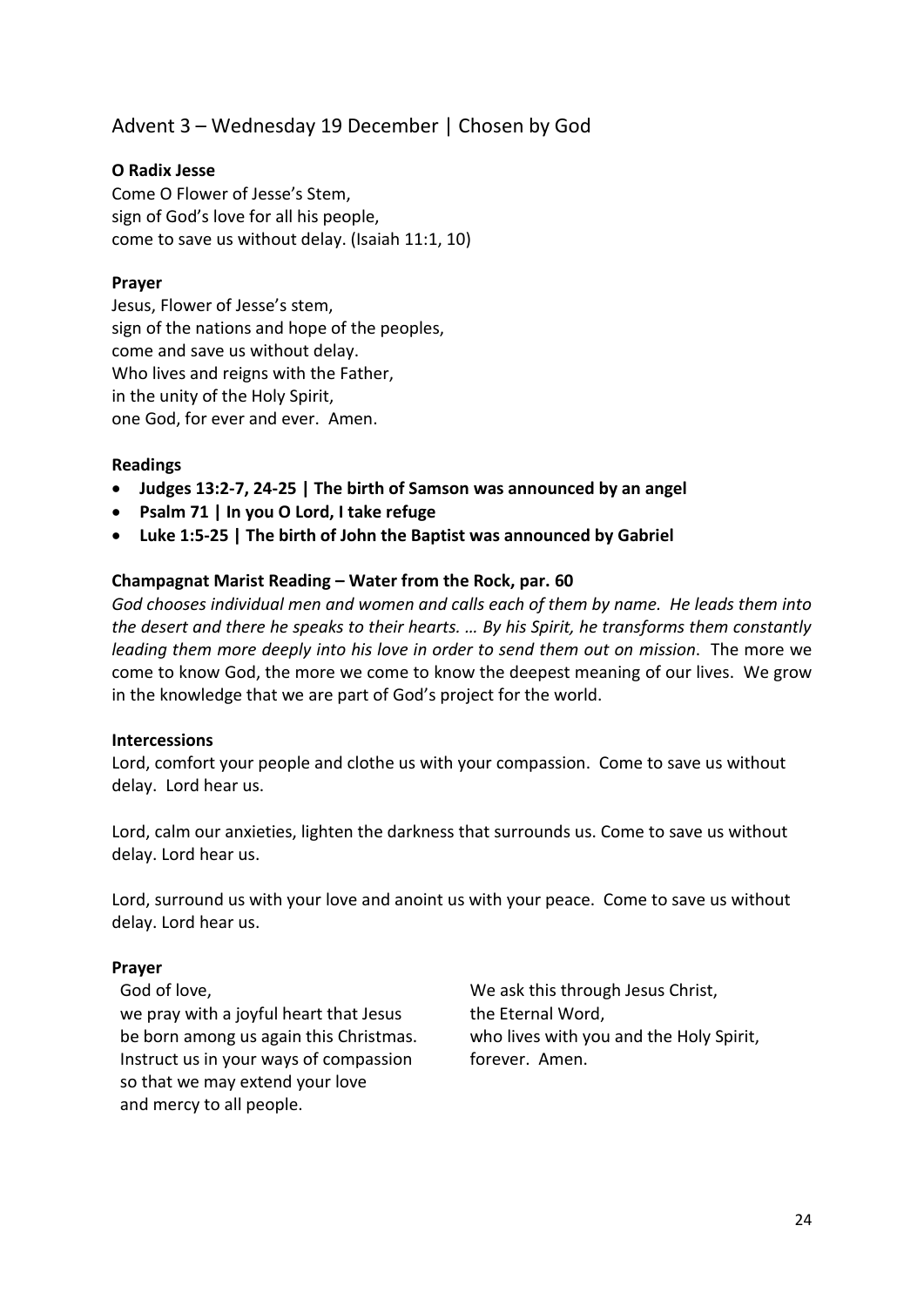## Advent 3 – Wednesday 19 December | Chosen by God

## **O Radix Jesse**

Come O Flower of Jesse's Stem, sign of God's love for all his people, come to save us without delay. (Isaiah 11:1, 10)

#### **Prayer**

Jesus, Flower of Jesse's stem, sign of the nations and hope of the peoples, come and save us without delay. Who lives and reigns with the Father, in the unity of the Holy Spirit, one God, for ever and ever. Amen.

#### **Readings**

- **Judges 13:2-7, 24-25 | The birth of Samson was announced by an angel**
- **Psalm 71 | In you O Lord, I take refuge**
- **Luke 1:5-25 | The birth of John the Baptist was announced by Gabriel**

#### **Champagnat Marist Reading – Water from the Rock, par. 60**

*God chooses individual men and women and calls each of them by name. He leads them into the desert and there he speaks to their hearts. … By his Spirit, he transforms them constantly leading them more deeply into his love in order to send them out on mission*. The more we come to know God, the more we come to know the deepest meaning of our lives. We grow in the knowledge that we are part of God's project for the world.

#### **Intercessions**

Lord, comfort your people and clothe us with your compassion. Come to save us without delay. Lord hear us.

Lord, calm our anxieties, lighten the darkness that surrounds us. Come to save us without delay. Lord hear us.

Lord, surround us with your love and anoint us with your peace. Come to save us without delay. Lord hear us.

#### **Prayer**

God of love, we pray with a joyful heart that Jesus be born among us again this Christmas. Instruct us in your ways of compassion so that we may extend your love and mercy to all people.

We ask this through Jesus Christ, the Eternal Word, who lives with you and the Holy Spirit, forever. Amen.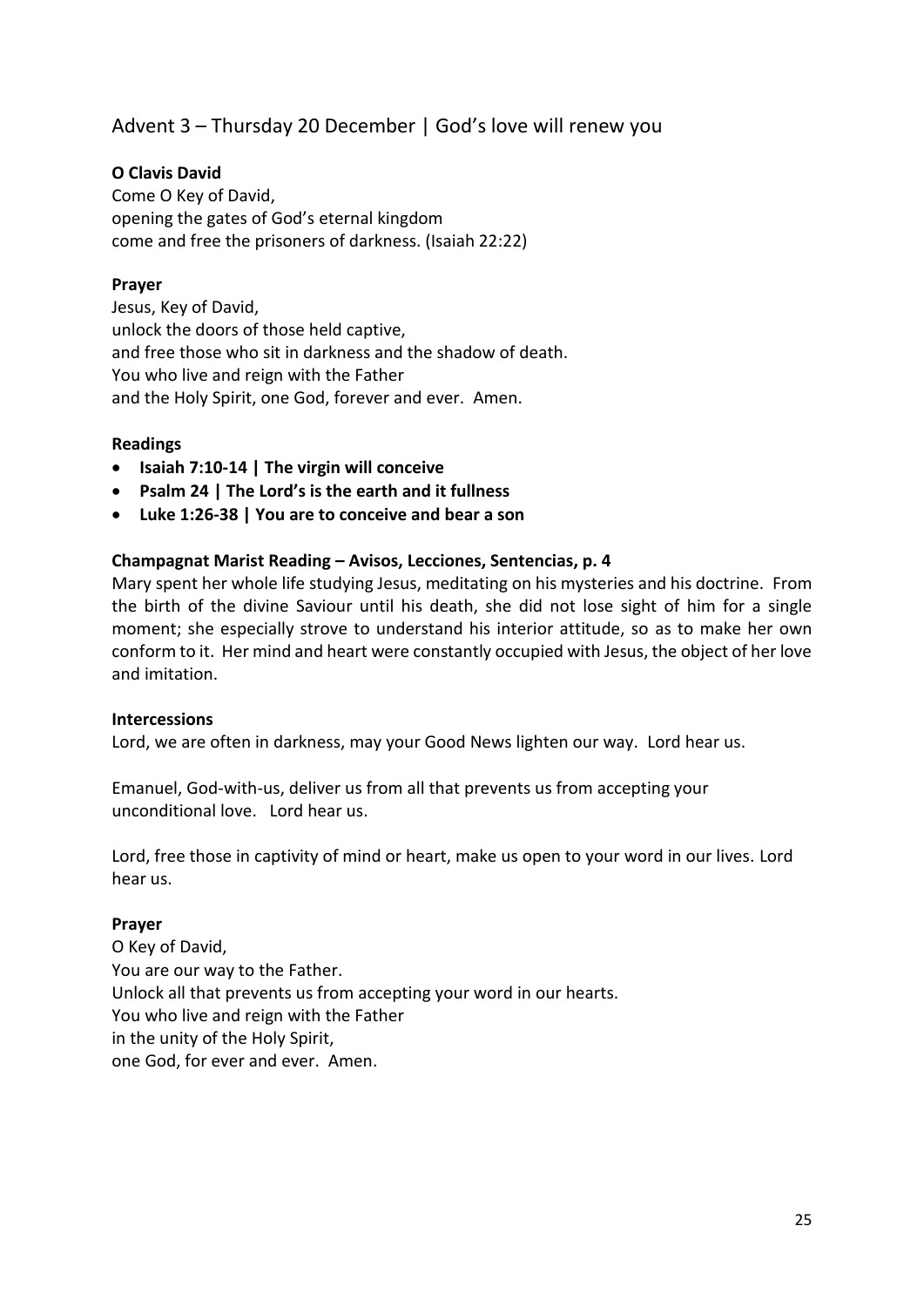## Advent 3 – Thursday 20 December | God's love will renew you

## **O Clavis David**

Come O Key of David, opening the gates of God's eternal kingdom come and free the prisoners of darkness. (Isaiah 22:22)

## **Prayer**

Jesus, Key of David, unlock the doors of those held captive, and free those who sit in darkness and the shadow of death. You who live and reign with the Father and the Holy Spirit, one God, forever and ever. Amen.

#### **Readings**

- **Isaiah 7:10-14 | The virgin will conceive**
- **Psalm 24 | The Lord's is the earth and it fullness**
- **Luke 1:26-38 | You are to conceive and bear a son**

#### **Champagnat Marist Reading – Avisos, Lecciones, Sentencias, p. 4**

Mary spent her whole life studying Jesus, meditating on his mysteries and his doctrine. From the birth of the divine Saviour until his death, she did not lose sight of him for a single moment; she especially strove to understand his interior attitude, so as to make her own conform to it. Her mind and heart were constantly occupied with Jesus, the object of her love and imitation.

#### **Intercessions**

Lord, we are often in darkness, may your Good News lighten our way. Lord hear us.

Emanuel, God-with-us, deliver us from all that prevents us from accepting your unconditional love. Lord hear us.

Lord, free those in captivity of mind or heart, make us open to your word in our lives. Lord hear us.

#### **Prayer**

O Key of David, You are our way to the Father. Unlock all that prevents us from accepting your word in our hearts. You who live and reign with the Father in the unity of the Holy Spirit, one God, for ever and ever. Amen.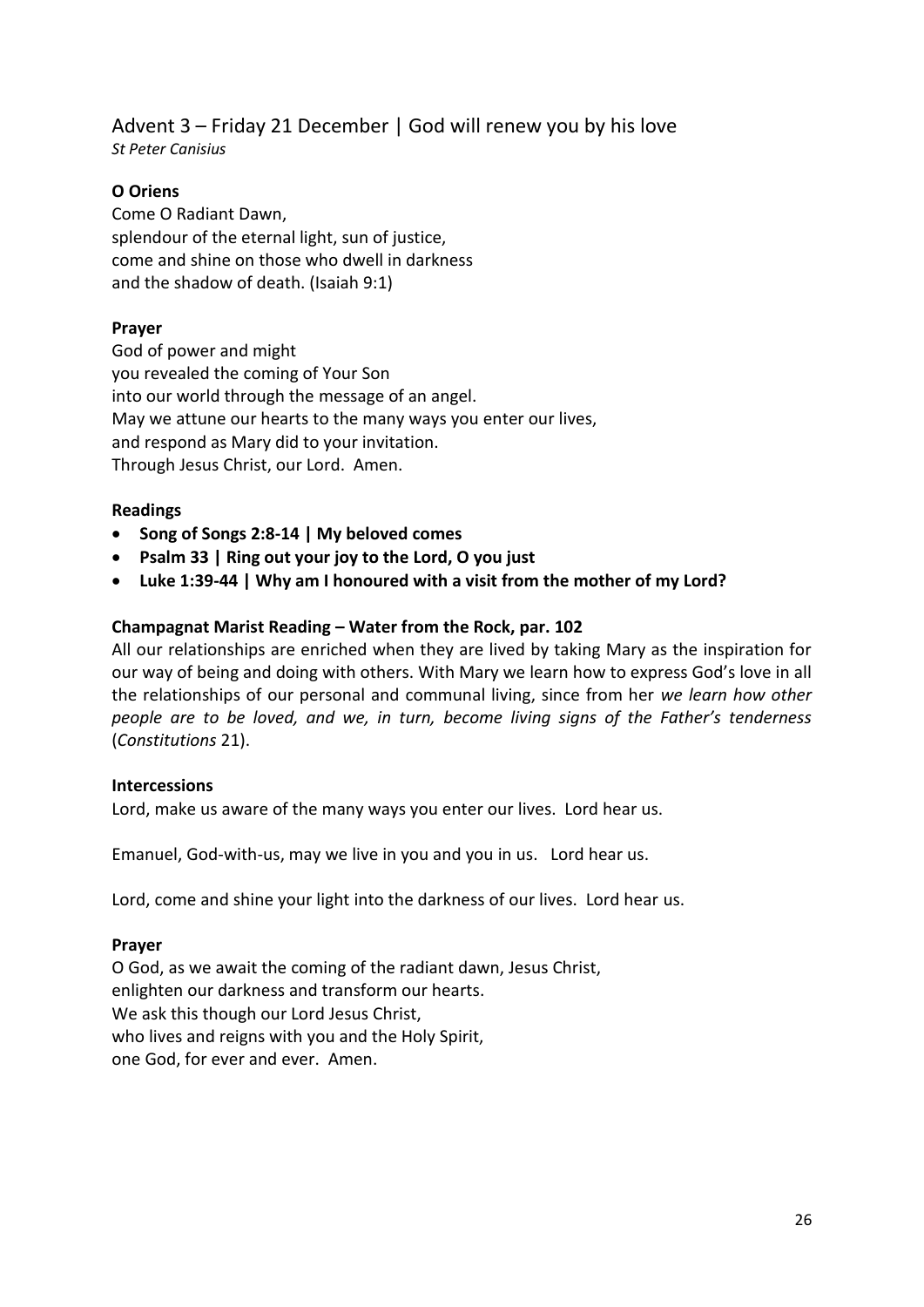## Advent 3 – Friday 21 December | God will renew you by his love *St Peter Canisius*

## **O Oriens**

Come O Radiant Dawn, splendour of the eternal light, sun of justice, come and shine on those who dwell in darkness and the shadow of death. (Isaiah 9:1)

#### **Prayer**

God of power and might you revealed the coming of Your Son into our world through the message of an angel. May we attune our hearts to the many ways you enter our lives, and respond as Mary did to your invitation. Through Jesus Christ, our Lord. Amen.

#### **Readings**

- **Song of Songs 2:8-14 | My beloved comes**
- **Psalm 33 | Ring out your joy to the Lord, O you just**
- **Luke 1:39-44 | Why am I honoured with a visit from the mother of my Lord?**

## **Champagnat Marist Reading – Water from the Rock, par. 102**

All our relationships are enriched when they are lived by taking Mary as the inspiration for our way of being and doing with others. With Mary we learn how to express God's love in all the relationships of our personal and communal living, since from her *we learn how other people are to be loved, and we, in turn, become living signs of the Father's tenderness*  (*Constitutions* 21).

#### **Intercessions**

Lord, make us aware of the many ways you enter our lives. Lord hear us.

Emanuel, God-with-us, may we live in you and you in us. Lord hear us.

Lord, come and shine your light into the darkness of our lives. Lord hear us.

#### **Prayer**

O God, as we await the coming of the radiant dawn, Jesus Christ, enlighten our darkness and transform our hearts. We ask this though our Lord Jesus Christ, who lives and reigns with you and the Holy Spirit, one God, for ever and ever. Amen.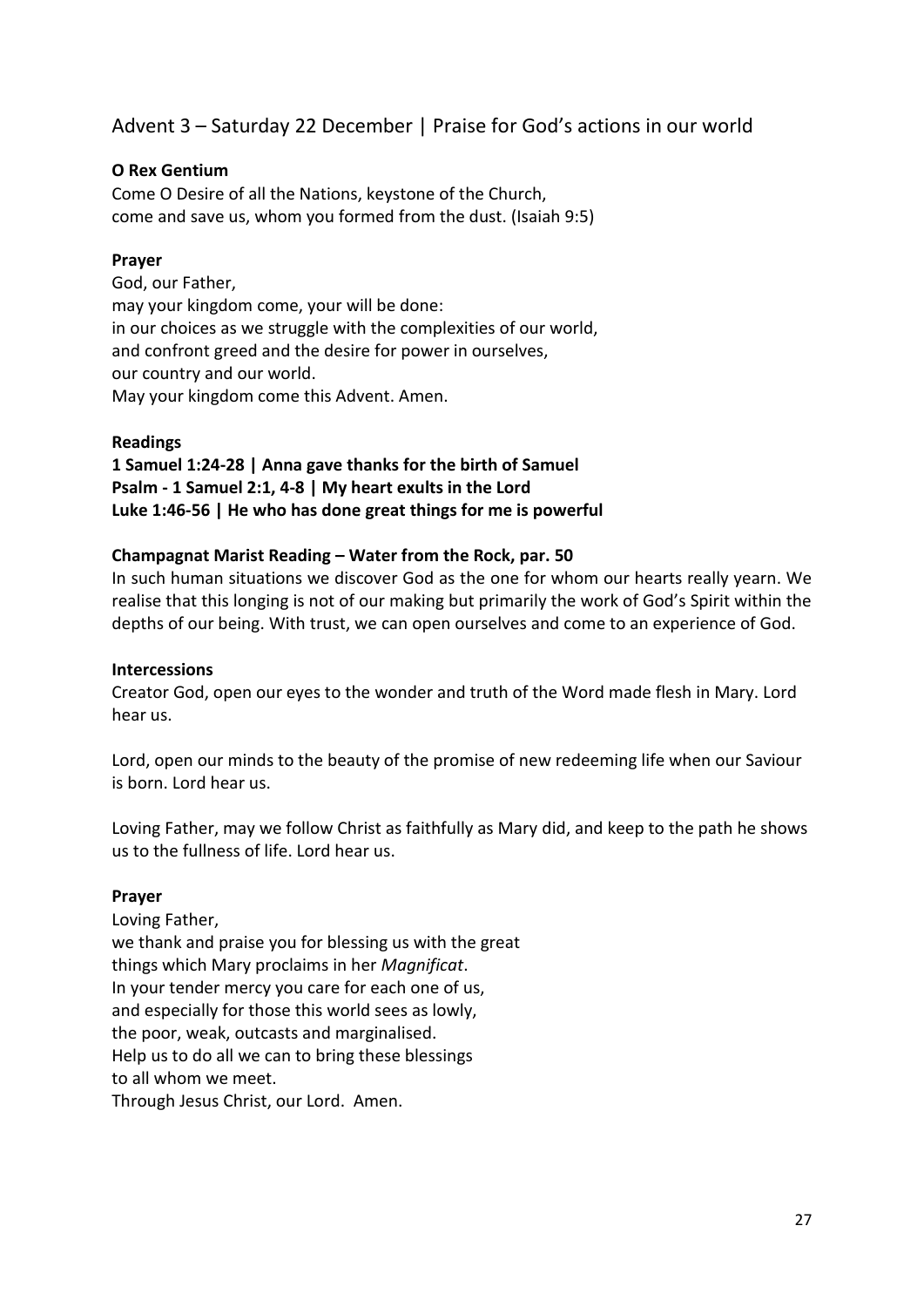## Advent 3 – Saturday 22 December | Praise for God's actions in our world

## **O Rex Gentium**

Come O Desire of all the Nations, keystone of the Church, come and save us, whom you formed from the dust. (Isaiah 9:5)

## **Prayer**

God, our Father, may your kingdom come, your will be done: in our choices as we struggle with the complexities of our world, and confront greed and the desire for power in ourselves, our country and our world. May your kingdom come this Advent. Amen.

#### **Readings**

**1 Samuel 1:24-28 | Anna gave thanks for the birth of Samuel Psalm - 1 Samuel 2:1, 4-8 | My heart exults in the Lord Luke 1:46-56 | He who has done great things for me is powerful**

## **Champagnat Marist Reading – Water from the Rock, par. 50**

In such human situations we discover God as the one for whom our hearts really yearn. We realise that this longing is not of our making but primarily the work of God's Spirit within the depths of our being. With trust, we can open ourselves and come to an experience of God.

#### **Intercessions**

Creator God, open our eyes to the wonder and truth of the Word made flesh in Mary. Lord hear us.

Lord, open our minds to the beauty of the promise of new redeeming life when our Saviour is born. Lord hear us.

Loving Father, may we follow Christ as faithfully as Mary did, and keep to the path he shows us to the fullness of life. Lord hear us.

#### **Prayer**

Loving Father, we thank and praise you for blessing us with the great things which Mary proclaims in her *Magnificat*. In your tender mercy you care for each one of us, and especially for those this world sees as lowly, the poor, weak, outcasts and marginalised. Help us to do all we can to bring these blessings to all whom we meet. Through Jesus Christ, our Lord. Amen.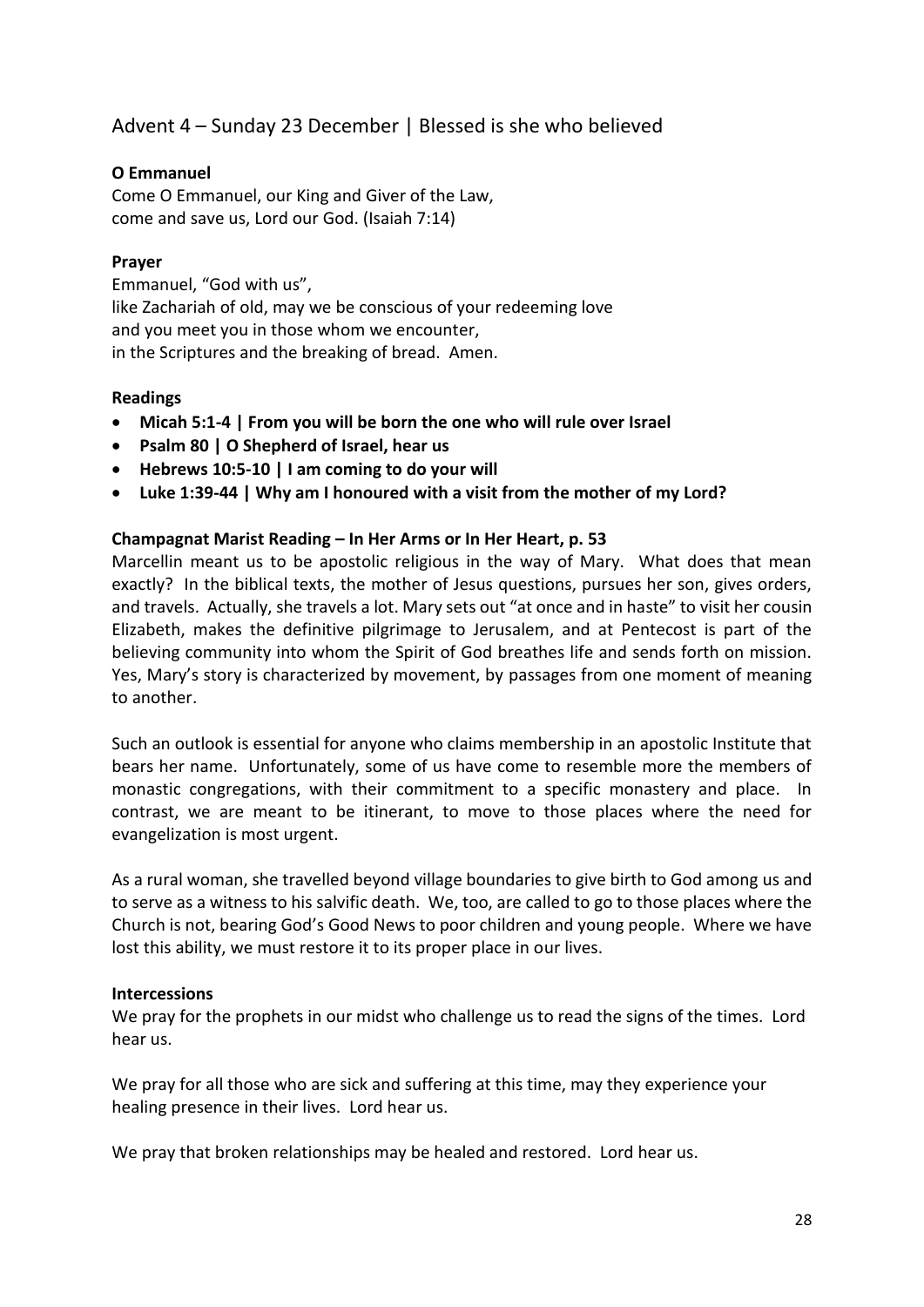## Advent 4 – Sunday 23 December | Blessed is she who believed

## **O Emmanuel**

Come O Emmanuel, our King and Giver of the Law, come and save us, Lord our God. (Isaiah 7:14)

#### **Prayer**

Emmanuel, "God with us", like Zachariah of old, may we be conscious of your redeeming love and you meet you in those whom we encounter, in the Scriptures and the breaking of bread. Amen.

## **Readings**

- **Micah 5:1-4 | From you will be born the one who will rule over Israel**
- **Psalm 80 | O Shepherd of Israel, hear us**
- **Hebrews 10:5-10 | I am coming to do your will**
- **Luke 1:39-44 | Why am I honoured with a visit from the mother of my Lord?**

#### **Champagnat Marist Reading – In Her Arms or In Her Heart, p. 53**

Marcellin meant us to be apostolic religious in the way of Mary. What does that mean exactly? In the biblical texts, the mother of Jesus questions, pursues her son, gives orders, and travels. Actually, she travels a lot. Mary sets out "at once and in haste" to visit her cousin Elizabeth, makes the definitive pilgrimage to Jerusalem, and at Pentecost is part of the believing community into whom the Spirit of God breathes life and sends forth on mission. Yes, Mary's story is characterized by movement, by passages from one moment of meaning to another.

Such an outlook is essential for anyone who claims membership in an apostolic Institute that bears her name. Unfortunately, some of us have come to resemble more the members of monastic congregations, with their commitment to a specific monastery and place. In contrast, we are meant to be itinerant, to move to those places where the need for evangelization is most urgent.

As a rural woman, she travelled beyond village boundaries to give birth to God among us and to serve as a witness to his salvific death. We, too, are called to go to those places where the Church is not, bearing God's Good News to poor children and young people. Where we have lost this ability, we must restore it to its proper place in our lives.

#### **Intercessions**

We pray for the prophets in our midst who challenge us to read the signs of the times. Lord hear us.

We pray for all those who are sick and suffering at this time, may they experience your healing presence in their lives. Lord hear us.

We pray that broken relationships may be healed and restored. Lord hear us.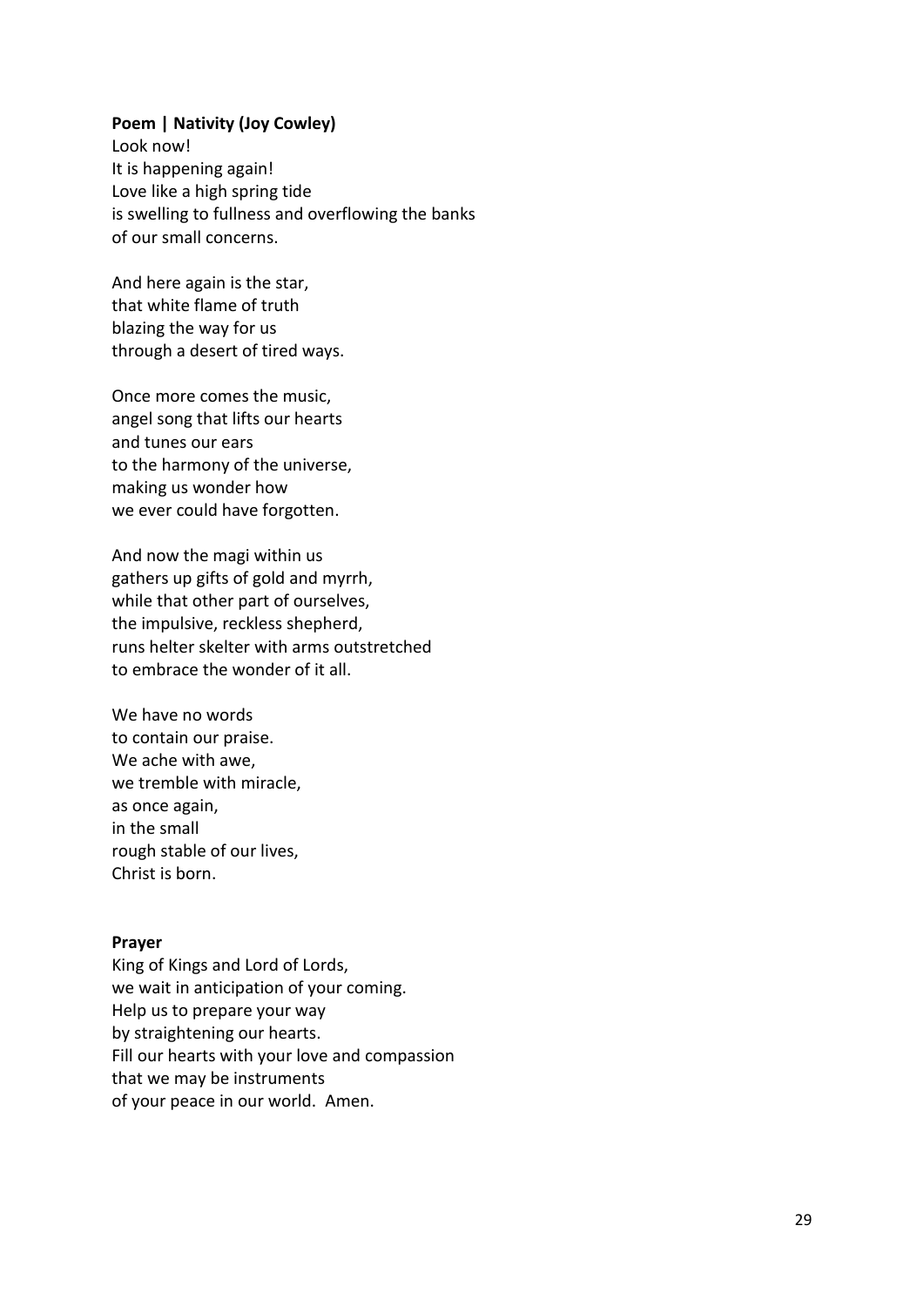#### **Poem | Nativity (Joy Cowley)**

Look now! It is happening again! Love like a high spring tide is swelling to fullness and overflowing the banks of our small concerns.

And here again is the star, that white flame of truth blazing the way for us through a desert of tired ways.

Once more comes the music, angel song that lifts our hearts and tunes our ears to the harmony of the universe, making us wonder how we ever could have forgotten.

And now the magi within us gathers up gifts of gold and myrrh, while that other part of ourselves, the impulsive, reckless shepherd, runs helter skelter with arms outstretched to embrace the wonder of it all.

We have no words to contain our praise. We ache with awe, we tremble with miracle, as once again, in the small rough stable of our lives, Christ is born.

#### **Prayer**

King of Kings and Lord of Lords, we wait in anticipation of your coming. Help us to prepare your way by straightening our hearts. Fill our hearts with your love and compassion that we may be instruments of your peace in our world. Amen.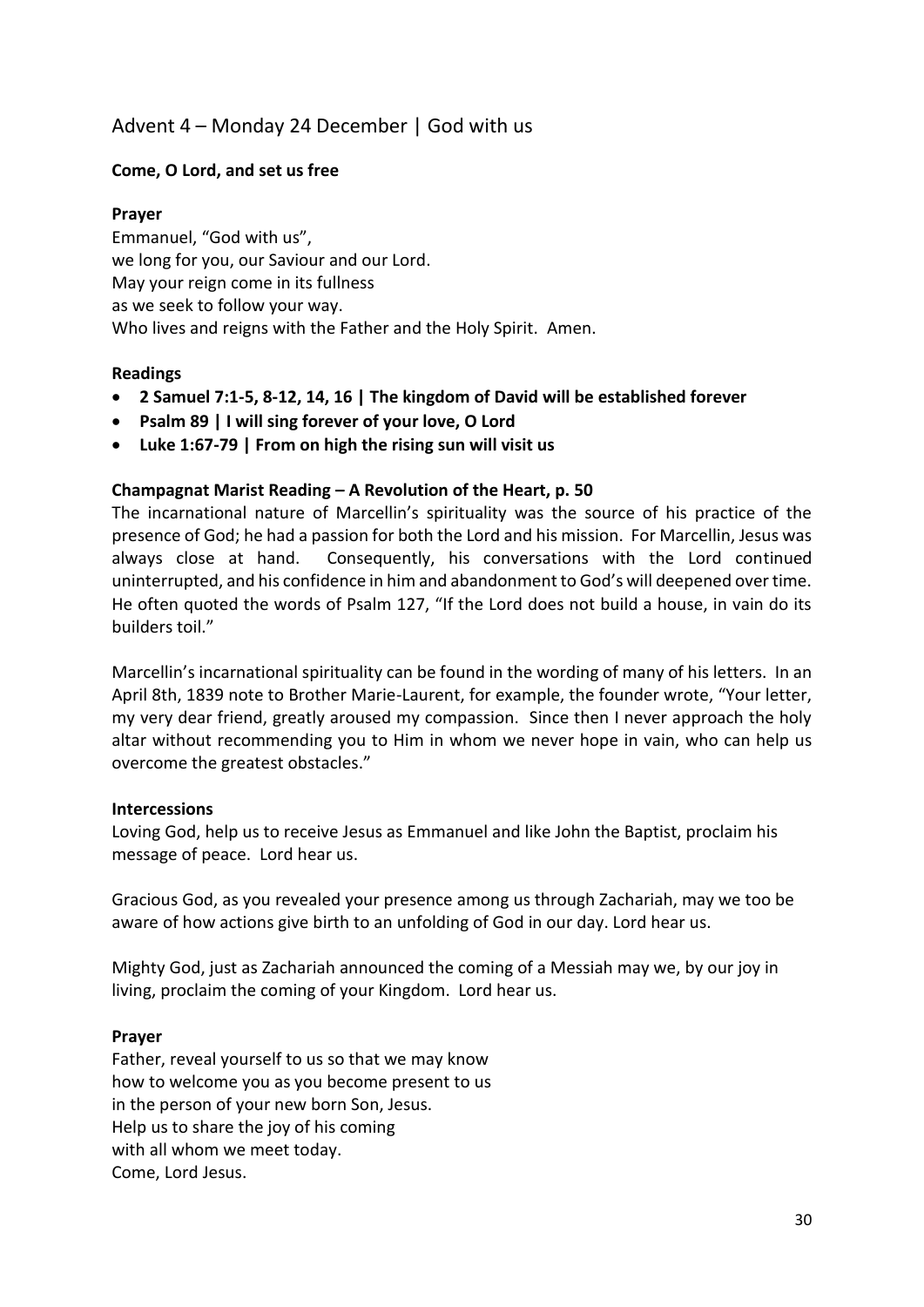## Advent 4 – Monday 24 December | God with us

## **Come, O Lord, and set us free**

## **Prayer**

Emmanuel, "God with us", we long for you, our Saviour and our Lord. May your reign come in its fullness as we seek to follow your way. Who lives and reigns with the Father and the Holy Spirit. Amen.

## **Readings**

- **2 Samuel 7:1-5, 8-12, 14, 16 | The kingdom of David will be established forever**
- **Psalm 89 | I will sing forever of your love, O Lord**
- **Luke 1:67-79 | From on high the rising sun will visit us**

## **Champagnat Marist Reading – A Revolution of the Heart, p. 50**

The incarnational nature of Marcellin's spirituality was the source of his practice of the presence of God; he had a passion for both the Lord and his mission. For Marcellin, Jesus was always close at hand. Consequently, his conversations with the Lord continued uninterrupted, and his confidence in him and abandonment to God's will deepened over time. He often quoted the words of Psalm 127, "If the Lord does not build a house, in vain do its builders toil."

Marcellin's incarnational spirituality can be found in the wording of many of his letters. In an April 8th, 1839 note to Brother Marie-Laurent, for example, the founder wrote, "Your letter, my very dear friend, greatly aroused my compassion. Since then I never approach the holy altar without recommending you to Him in whom we never hope in vain, who can help us overcome the greatest obstacles."

## **Intercessions**

Loving God, help us to receive Jesus as Emmanuel and like John the Baptist, proclaim his message of peace. Lord hear us.

Gracious God, as you revealed your presence among us through Zachariah, may we too be aware of how actions give birth to an unfolding of God in our day. Lord hear us.

Mighty God, just as Zachariah announced the coming of a Messiah may we, by our joy in living, proclaim the coming of your Kingdom. Lord hear us.

## **Prayer**

Father, reveal yourself to us so that we may know how to welcome you as you become present to us in the person of your new born Son, Jesus. Help us to share the joy of his coming with all whom we meet today. Come, Lord Jesus.